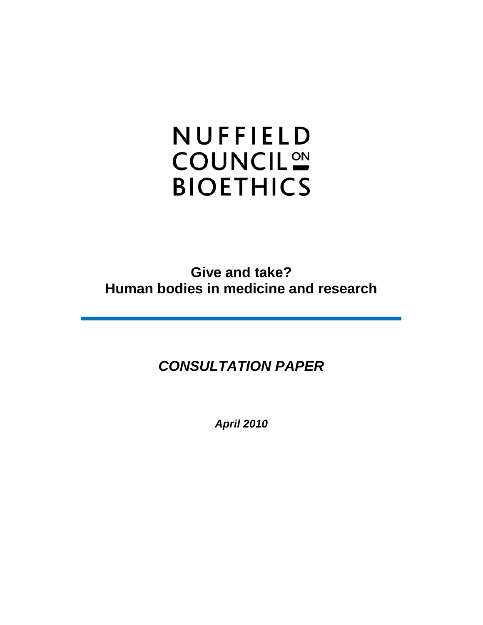# NUFFIELD **COUNCIL<sup>ON</sup> BIOETHICS**

**Give and take? Human bodies in medicine and research**

# *CONSULTATION PAPER*

*April 2010*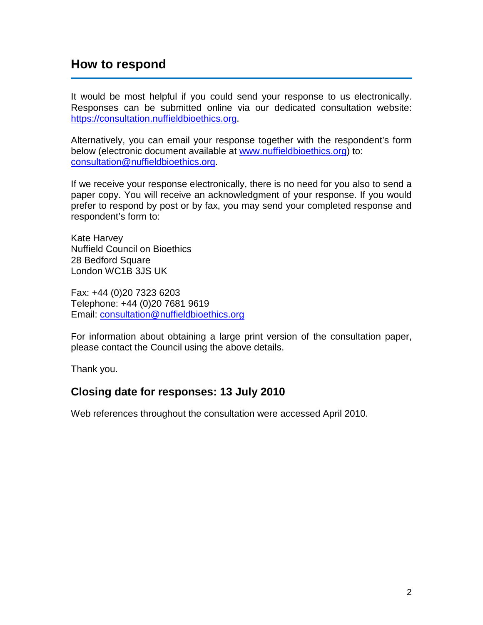# **How to respond**

It would be most helpful if you could send your response to us electronically. Responses can be submitted online via our dedicated consultation website: [https://consultation.nuffieldbioethics.org.](https://consultation.nuffieldbioethics.org/)

Alternatively, you can email your response together with the respondent's form below (electronic document available at [www.nuffieldbioethics.org\)](http://www.nuffieldbioethics.org/) to: [consultation@nuffieldbioethics.org.](mailto:consultation@nuffieldbioethics.org)

If we receive your response electronically, there is no need for you also to send a paper copy. You will receive an acknowledgment of your response. If you would prefer to respond by post or by fax, you may send your completed response and respondent's form to:

Kate Harvey Nuffield Council on Bioethics 28 Bedford Square London WC1B 3JS UK

Fax: +44 (0)20 7323 6203 Telephone: +44 (0)20 7681 9619 Email: [consultation@nuffieldbioethics.org](mailto:consultation@nuffieldbioethics.org)

For information about obtaining a large print version of the consultation paper, please contact the Council using the above details.

Thank you.

## **Closing date for responses: 13 July 2010**

Web references throughout the consultation were accessed April 2010.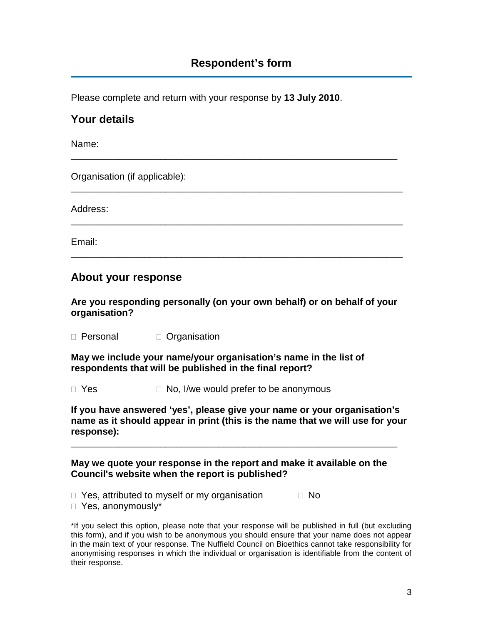\_\_\_\_\_\_\_\_\_\_\_\_\_\_\_\_\_\_\_\_\_\_\_\_\_\_\_\_\_\_\_\_\_\_\_\_\_\_\_\_\_\_\_\_\_\_\_\_\_\_\_\_\_\_\_\_\_\_\_\_\_\_

\_\_\_\_\_\_\_\_\_\_\_\_\_\_\_\_\_\_\_\_\_\_\_\_\_\_\_\_\_\_\_\_\_\_\_\_\_\_\_\_\_\_\_\_\_\_\_\_\_\_\_\_\_\_\_\_\_\_\_\_\_\_\_

\_\_\_\_\_\_\_\_\_\_\_\_\_\_\_\_\_\_\_\_\_\_\_\_\_\_\_\_\_\_\_\_\_\_\_\_\_\_\_\_\_\_\_\_\_\_\_\_\_\_\_\_\_\_\_\_\_\_\_\_\_\_\_

\_\_\_\_\_\_\_\_\_\_\_\_\_\_\_\_\_\_\_\_\_\_\_\_\_\_\_\_\_\_\_\_\_\_\_\_\_\_\_\_\_\_\_\_\_\_\_\_\_\_\_\_\_\_\_\_\_\_\_\_\_\_\_

Please complete and return with your response by **13 July 2010**.

# **Your details**

Name:

Organisation (if applicable):

Address:

Email:

# **About your response**

**Are you responding personally (on your own behalf) or on behalf of your organisation?**

□ Personal □ Organisation

**May we include your name/your organisation's name in the list of respondents that will be published in the final report?**

 $\Box$  Yes  $\Box$  No, I/we would prefer to be anonymous

**If you have answered 'yes', please give your name or your organisation's name as it should appear in print (this is the name that we will use for your response):**

#### **May we quote your response in the report and make it available on the Council's website when the report is published?**

\_\_\_\_\_\_\_\_\_\_\_\_\_\_\_\_\_\_\_\_\_\_\_\_\_\_\_\_\_\_\_\_\_\_\_\_\_\_\_\_\_\_\_\_\_\_\_\_\_\_\_\_\_\_\_\_\_\_\_\_\_\_

 $\Box$  Yes, attributed to myself or my organisation  $\Box$  No

Yes, anonymously\*

\*If you select this option, please note that your response will be published in full (but excluding this form), and if you wish to be anonymous you should ensure that your name does not appear in the main text of your response. The Nuffield Council on Bioethics cannot take responsibility for anonymising responses in which the individual or organisation is identifiable from the content of their response.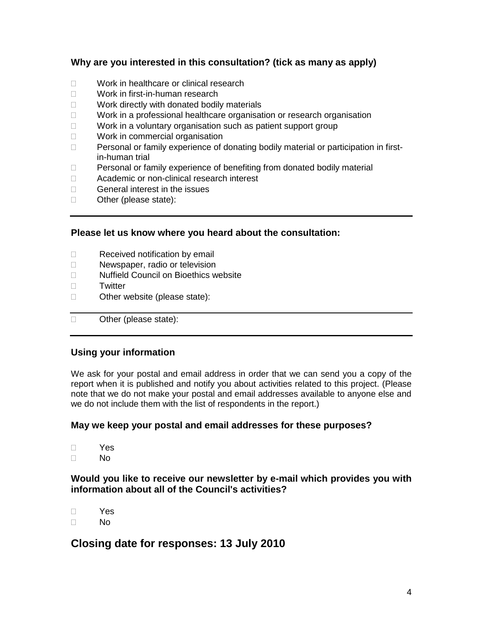#### **Why are you interested in this consultation? (tick as many as apply)**

- □ Work in healthcare or clinical research
- Work in first-in-human research
- $\Box$  Work directly with donated bodily materials
- $\Box$  Work in a professional healthcare organisation or research organisation
- □ Work in a voluntary organisation such as patient support group
- □ Work in commercial organisation
- $\Box$  Personal or family experience of donating bodily material or participation in firstin-human trial
- □ Personal or family experience of benefiting from donated bodily material
- □ Academic or non-clinical research interest
- $\Box$  General interest in the issues
- □ Other (please state):

#### **Please let us know where you heard about the consultation:**

- $\Box$  Received notification by email
- D Newspaper, radio or television
- □ Nuffield Council on Bioethics website
- □ Twitter
- □ Other website (please state):
- □ Other (please state):

#### **Using your information**

We ask for your postal and email address in order that we can send you a copy of the report when it is published and notify you about activities related to this project. (Please note that we do not make your postal and email addresses available to anyone else and we do not include them with the list of respondents in the report.)

#### **May we keep your postal and email addresses for these purposes?**

- Yes
- $\Box$  No

#### **Would you like to receive our newsletter by e-mail which provides you with information about all of the Council's activities?**

 Yes  $\Box$  No

# **Closing date for responses: 13 July 2010**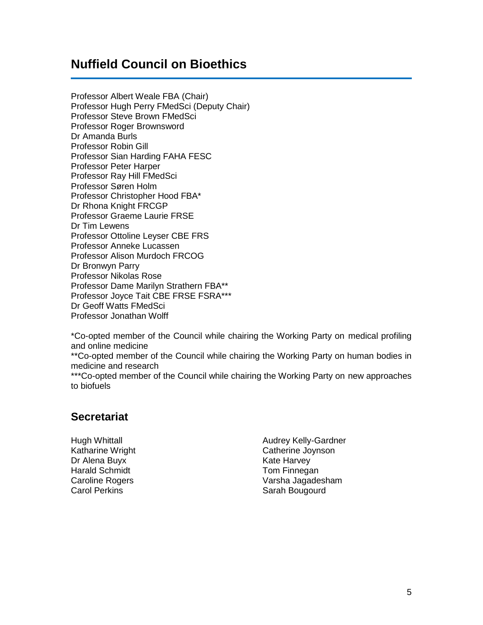# **Nuffield Council on Bioethics**

Professor Albert Weale FBA (Chair) Professor Hugh Perry FMedSci (Deputy Chair) Professor Steve Brown FMedSci Professor Roger Brownsword Dr Amanda Burls Professor Robin Gill Professor Sian Harding FAHA FESC Professor Peter Harper Professor Ray Hill FMedSci Professor Søren Holm Professor Christopher Hood FBA\* Dr Rhona Knight FRCGP Professor Graeme Laurie FRSE Dr Tim Lewens Professor Ottoline Leyser CBE FRS Professor Anneke Lucassen Professor Alison Murdoch FRCOG Dr Bronwyn Parry Professor Nikolas Rose Professor Dame Marilyn Strathern FBA\*\* Professor Joyce Tait CBE FRSE FSRA\*\*\* Dr Geoff Watts FMedSci Professor Jonathan Wolff

\*Co-opted member of the Council while chairing the Working Party on medical profiling and online medicine

\*\*Co-opted member of the Council while chairing the Working Party on human bodies in medicine and research

\*\*\*Co-opted member of the Council while chairing the Working Party on new approaches to biofuels

## **Secretariat**

Hugh Whittall **Audrey Kelly-Gardner** Dr Alena Buyx **Kate Harvey** Kate Harvey Harald Schmidt **Tom Finnegan** 

Katharine Wright Catherine Joynson Caroline Rogers **Varsha Jagadesham**<br>Carol Perkins **Varsha International Carol Perkins** Sarah Bougourd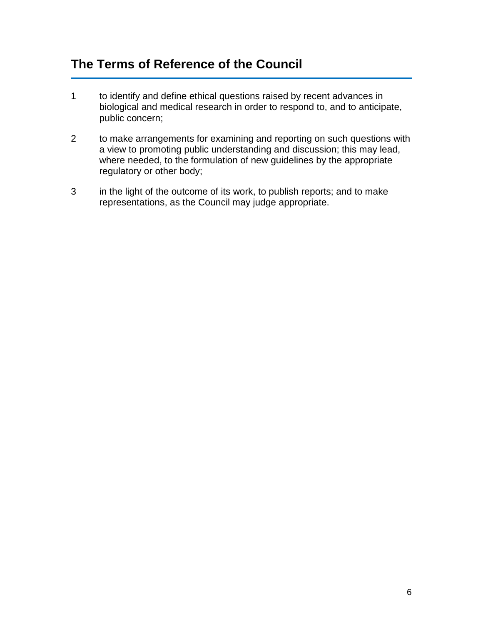# **The Terms of Reference of the Council**

- 1 to identify and define ethical questions raised by recent advances in biological and medical research in order to respond to, and to anticipate, public concern;
- 2 to make arrangements for examining and reporting on such questions with a view to promoting public understanding and discussion; this may lead, where needed, to the formulation of new guidelines by the appropriate regulatory or other body;
- 3 in the light of the outcome of its work, to publish reports; and to make representations, as the Council may judge appropriate.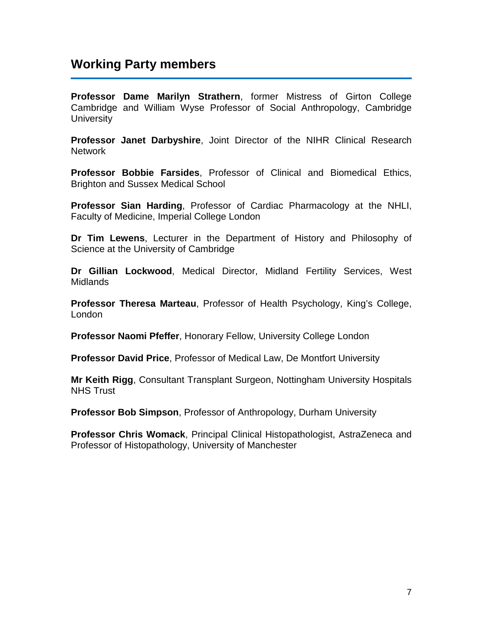# **Working Party members**

**Professor Dame Marilyn Strathern**, former Mistress of Girton College Cambridge and William Wyse Professor of Social Anthropology, Cambridge **University** 

**Professor Janet Darbyshire**, Joint Director of the NIHR Clinical Research **Network** 

**Professor Bobbie Farsides**, Professor of Clinical and Biomedical Ethics, Brighton and Sussex Medical School

**Professor Sian Harding**, Professor of Cardiac Pharmacology at the NHLI, Faculty of Medicine, Imperial College London

**Dr Tim Lewens**, Lecturer in the Department of History and Philosophy of Science at the University of Cambridge

**Dr Gillian Lockwood**, Medical Director, Midland Fertility Services, West Midlands

**Professor Theresa Marteau**, Professor of Health Psychology, King's College, London

**Professor Naomi Pfeffer**, Honorary Fellow, University College London

**Professor David Price**, Professor of Medical Law, De Montfort University

**Mr Keith Rigg**, Consultant Transplant Surgeon, Nottingham University Hospitals NHS Trust

**Professor Bob Simpson**, Professor of Anthropology, Durham University

**Professor Chris Womack**, Principal Clinical Histopathologist, AstraZeneca and Professor of Histopathology, University of Manchester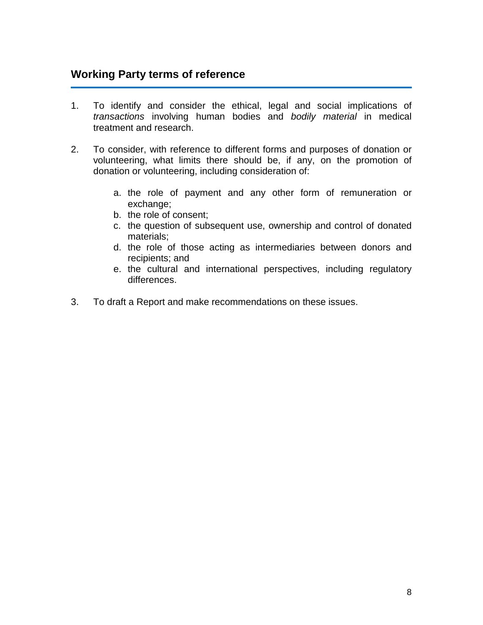# **Working Party terms of reference**

- 1. To identify and consider the ethical, legal and social implications of *transactions* involving human bodies and *bodily material* in medical treatment and research.
- 2. To consider, with reference to different forms and purposes of donation or volunteering, what limits there should be, if any, on the promotion of donation or volunteering, including consideration of:
	- a. the role of payment and any other form of remuneration or exchange;
	- b. the role of consent;
	- c. the question of subsequent use, ownership and control of donated materials;
	- d. the role of those acting as intermediaries between donors and recipients; and
	- e. the cultural and international perspectives, including regulatory differences.
- 3. To draft a Report and make recommendations on these issues.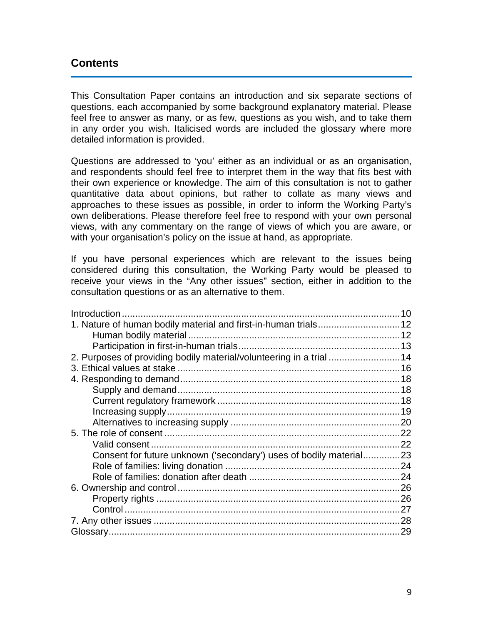## **Contents**

This Consultation Paper contains an introduction and six separate sections of questions, each accompanied by some background explanatory material. Please feel free to answer as many, or as few, questions as you wish, and to take them in any order you wish. Italicised words are included the glossary where more detailed information is provided.

Questions are addressed to 'you' either as an individual or as an organisation, and respondents should feel free to interpret them in the way that fits best with their own experience or knowledge. The aim of this consultation is not to gather quantitative data about opinions, but rather to collate as many views and approaches to these issues as possible, in order to inform the Working Party's own deliberations. Please therefore feel free to respond with your own personal views, with any commentary on the range of views of which you are aware, or with your organisation's policy on the issue at hand, as appropriate.

If you have personal experiences which are relevant to the issues being considered during this consultation, the Working Party would be pleased to receive your views in the "Any other issues" section, either in addition to the consultation questions or as an alternative to them.

| 2. Purposes of providing bodily material/volunteering in a trial 14 |    |
|---------------------------------------------------------------------|----|
|                                                                     |    |
|                                                                     |    |
|                                                                     |    |
|                                                                     |    |
|                                                                     |    |
|                                                                     |    |
|                                                                     |    |
|                                                                     |    |
| Consent for future unknown ('secondary') uses of bodily material23  |    |
|                                                                     |    |
|                                                                     |    |
|                                                                     |    |
|                                                                     |    |
|                                                                     |    |
|                                                                     | 28 |
|                                                                     | 29 |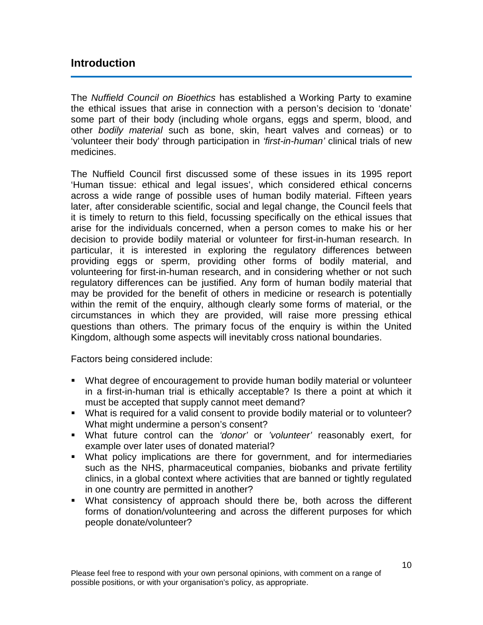## <span id="page-9-0"></span>**Introduction**

The *Nuffield Council on Bioethics* has established a Working Party to examine the ethical issues that arise in connection with a person's decision to 'donate' some part of their body (including whole organs, eggs and sperm, blood, and other *bodily material* such as bone, skin, heart valves and corneas) or to 'volunteer their body' through participation in *'first-in-human'* clinical trials of new medicines.

The Nuffield Council first discussed some of these issues in its 1995 report 'Human tissue: ethical and legal issues', which considered ethical concerns across a wide range of possible uses of human bodily material. Fifteen years later, after considerable scientific, social and legal change, the Council feels that it is timely to return to this field, focussing specifically on the ethical issues that arise for the individuals concerned, when a person comes to make his or her decision to provide bodily material or volunteer for first-in-human research. In particular, it is interested in exploring the regulatory differences between providing eggs or sperm, providing other forms of bodily material, and volunteering for first-in-human research, and in considering whether or not such regulatory differences can be justified. Any form of human bodily material that may be provided for the benefit of others in medicine or research is potentially within the remit of the enquiry, although clearly some forms of material, or the circumstances in which they are provided, will raise more pressing ethical questions than others. The primary focus of the enquiry is within the United Kingdom, although some aspects will inevitably cross national boundaries.

Factors being considered include:

- What degree of encouragement to provide human bodily material or volunteer in a first-in-human trial is ethically acceptable? Is there a point at which it must be accepted that supply cannot meet demand?
- What is required for a valid consent to provide bodily material or to volunteer? What might undermine a person's consent?
- What future control can the *'donor'* or *'volunteer'* reasonably exert, for example over later uses of donated material?
- What policy implications are there for government, and for intermediaries such as the NHS, pharmaceutical companies, biobanks and private fertility clinics, in a global context where activities that are banned or tightly regulated in one country are permitted in another?
- What consistency of approach should there be, both across the different forms of donation/volunteering and across the different purposes for which people donate/volunteer?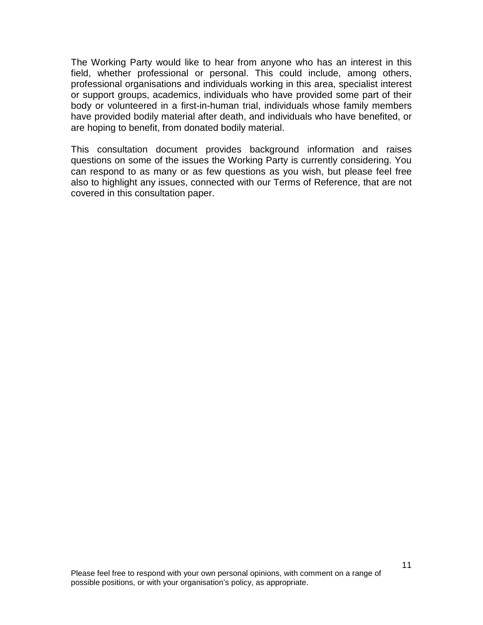The Working Party would like to hear from anyone who has an interest in this field, whether professional or personal. This could include, among others, professional organisations and individuals working in this area, specialist interest or support groups, academics, individuals who have provided some part of their body or volunteered in a first-in-human trial, individuals whose family members have provided bodily material after death, and individuals who have benefited, or are hoping to benefit, from donated bodily material.

This consultation document provides background information and raises questions on some of the issues the Working Party is currently considering. You can respond to as many or as few questions as you wish, but please feel free also to highlight any issues, connected with our Terms of Reference, that are not covered in this consultation paper.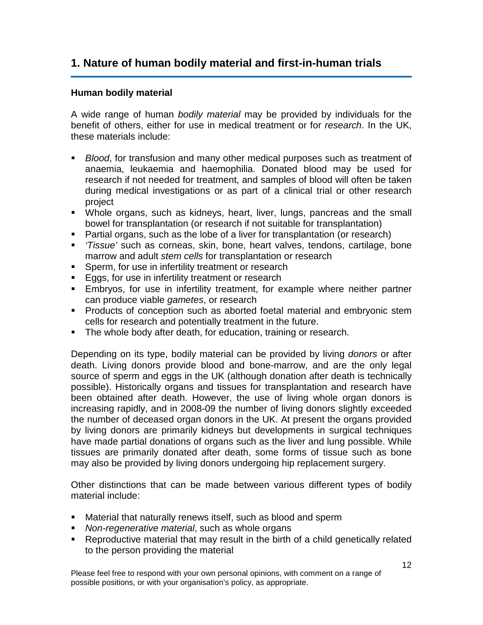# <span id="page-11-0"></span>**1. Nature of human bodily material and first-in-human trials**

#### <span id="page-11-1"></span>**Human bodily material**

A wide range of human *bodily material* may be provided by individuals for the benefit of others, either for use in medical treatment or for *research*. In the UK, these materials include:

- *Blood*, for transfusion and many other medical purposes such as treatment of anaemia, leukaemia and haemophilia. Donated blood may be used for research if not needed for treatment, and samples of blood will often be taken during medical investigations or as part of a clinical trial or other research project
- Whole organs, such as kidneys, heart, liver, lungs, pancreas and the small bowel for transplantation (or research if not suitable for transplantation)
- **Partial organs, such as the lobe of a liver for transplantation (or research)**
- *'Tissue'* such as corneas, skin, bone, heart valves, tendons, cartilage, bone marrow and adult *stem cells* for transplantation or research
- **Sperm, for use in infertility treatment or research**
- **Eggs, for use in infertility treatment or research**
- Embryos, for use in infertility treatment, for example where neither partner can produce viable *gametes*, or research
- **Products of conception such as aborted foetal material and embryonic stem** cells for research and potentially treatment in the future.
- **The whole body after death, for education, training or research.**

Depending on its type, bodily material can be provided by living *donors* or after death. Living donors provide blood and bone-marrow, and are the only legal source of sperm and eggs in the UK (although donation after death is technically possible). Historically organs and tissues for transplantation and research have been obtained after death. However, the use of living whole organ donors is increasing rapidly, and in 2008-09 the number of living donors slightly exceeded the number of deceased organ donors in the UK. At present the organs provided by living donors are primarily kidneys but developments in surgical techniques have made partial donations of organs such as the liver and lung possible. While tissues are primarily donated after death, some forms of tissue such as bone may also be provided by living donors undergoing hip replacement surgery.

Other distinctions that can be made between various different types of bodily material include:

- Material that naturally renews itself, such as blood and sperm
- *Non-regenerative material*, such as whole organs
- Reproductive material that may result in the birth of a child genetically related to the person providing the material

Please feel free to respond with your own personal opinions, with comment on a range of possible positions, or with your organisation's policy, as appropriate.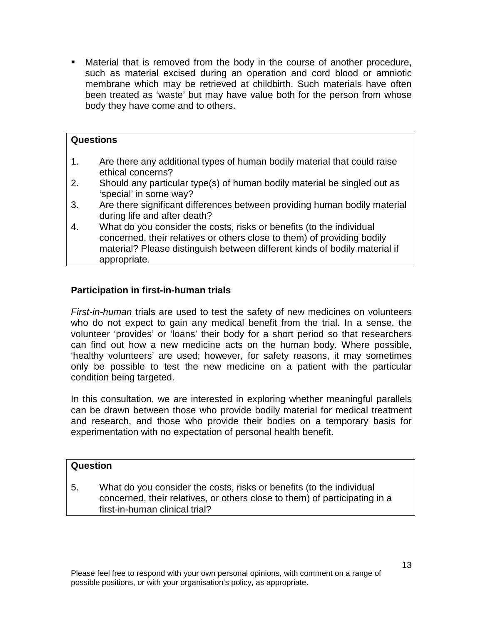Material that is removed from the body in the course of another procedure, such as material excised during an operation and cord blood or amniotic membrane which may be retrieved at childbirth. Such materials have often been treated as 'waste' but may have value both for the person from whose body they have come and to others.

#### **Questions**

- 1. Are there any additional types of human bodily material that could raise ethical concerns?
- 2. Should any particular type(s) of human bodily material be singled out as 'special' in some way?
- 3. Are there significant differences between providing human bodily material during life and after death?
- 4. What do you consider the costs, risks or benefits (to the individual concerned, their relatives or others close to them) of providing bodily material? Please distinguish between different kinds of bodily material if appropriate.

#### <span id="page-12-0"></span>**Participation in first-in-human trials**

*First-in-human* trials are used to test the safety of new medicines on volunteers who do not expect to gain any medical benefit from the trial. In a sense, the volunteer 'provides' or 'loans' their body for a short period so that researchers can find out how a new medicine acts on the human body. Where possible, 'healthy volunteers' are used; however, for safety reasons, it may sometimes only be possible to test the new medicine on a patient with the particular condition being targeted.

In this consultation, we are interested in exploring whether meaningful parallels can be drawn between those who provide bodily material for medical treatment and research, and those who provide their bodies on a temporary basis for experimentation with no expectation of personal health benefit.

#### **Question**

5. What do you consider the costs, risks or benefits (to the individual concerned, their relatives, or others close to them) of participating in a first-in-human clinical trial?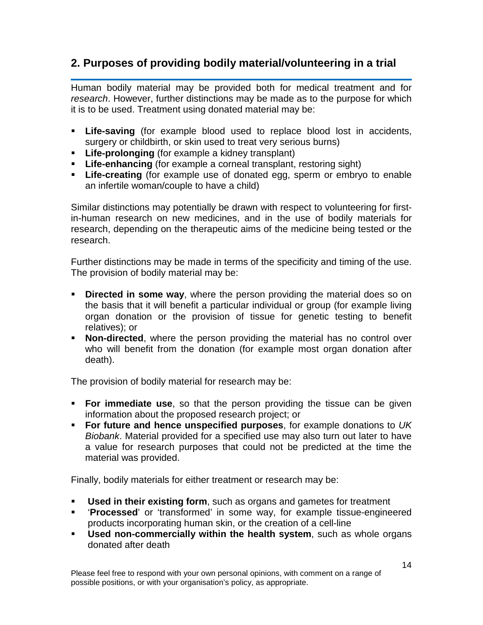# <span id="page-13-0"></span>**2. Purposes of providing bodily material/volunteering in a trial**

Human bodily material may be provided both for medical treatment and for *research*. However, further distinctions may be made as to the purpose for which it is to be used. Treatment using donated material may be:

- **Life-saving** (for example blood used to replace blood lost in accidents, surgery or childbirth, or skin used to treat very serious burns)
- **Life-prolonging** (for example a kidney transplant)
- **Life-enhancing** (for example a corneal transplant, restoring sight)
- **Life-creating** (for example use of donated egg, sperm or embryo to enable an infertile woman/couple to have a child)

Similar distinctions may potentially be drawn with respect to volunteering for firstin-human research on new medicines, and in the use of bodily materials for research, depending on the therapeutic aims of the medicine being tested or the research.

Further distinctions may be made in terms of the specificity and timing of the use. The provision of bodily material may be:

- **Directed in some way**, where the person providing the material does so on the basis that it will benefit a particular individual or group (for example living organ donation or the provision of tissue for genetic testing to benefit relatives); or
- **Non-directed**, where the person providing the material has no control over who will benefit from the donation (for example most organ donation after death).

The provision of bodily material for research may be:

- **For immediate use**, so that the person providing the tissue can be given information about the proposed research project; or
- **For future and hence unspecified purposes**, for example donations to *UK Biobank*. Material provided for a specified use may also turn out later to have a value for research purposes that could not be predicted at the time the material was provided.

Finally, bodily materials for either treatment or research may be:

- **Used in their existing form**, such as organs and gametes for treatment<br>**EXEC** 'Processed' or 'transformed' in some way for example tissue-engine
- '**Processed**' or 'transformed' in some way, for example tissue-engineered products incorporating human skin, or the creation of a cell-line
- **Used non-commercially within the health system**, such as whole organs donated after death

Please feel free to respond with your own personal opinions, with comment on a range of possible positions, or with your organisation's policy, as appropriate.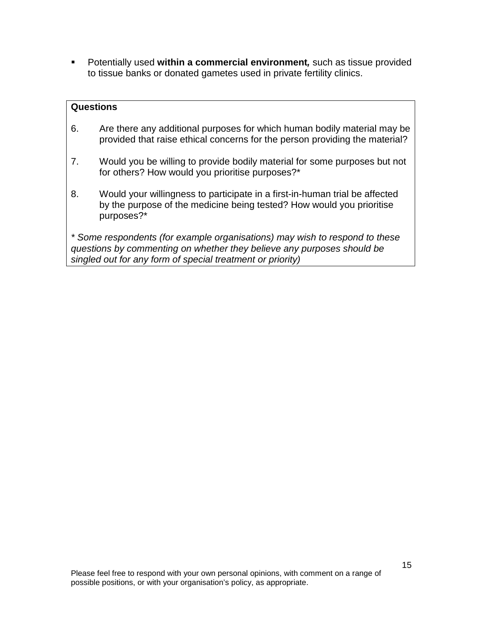Potentially used **within a commercial environment***,* such as tissue provided to tissue banks or donated gametes used in private fertility clinics.

#### **Questions**

- 6. Are there any additional purposes for which human bodily material may be provided that raise ethical concerns for the person providing the material?
- 7. Would you be willing to provide bodily material for some purposes but not for others? How would you prioritise purposes?\*
- 8. Would your willingness to participate in a first-in-human trial be affected by the purpose of the medicine being tested? How would you prioritise purposes?\*

*\* Some respondents (for example organisations) may wish to respond to these questions by commenting on whether they believe any purposes should be singled out for any form of special treatment or priority)*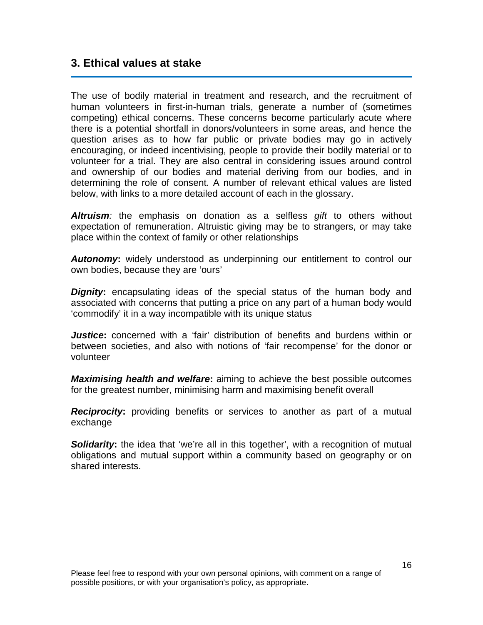#### <span id="page-15-0"></span>**3. Ethical values at stake**

The use of bodily material in treatment and research, and the recruitment of human volunteers in first-in-human trials, generate a number of (sometimes competing) ethical concerns. These concerns become particularly acute where there is a potential shortfall in donors/volunteers in some areas, and hence the question arises as to how far public or private bodies may go in actively encouraging, or indeed incentivising, people to provide their bodily material or to volunteer for a trial. They are also central in considering issues around control and ownership of our bodies and material deriving from our bodies, and in determining the role of consent. A number of relevant ethical values are listed below, with links to a more detailed account of each in the glossary.

*Altruism:* the emphasis on donation as a selfless *gift* to others without expectation of remuneration. Altruistic giving may be to strangers, or may take place within the context of family or other relationships

**Autonomy:** widely understood as underpinning our entitlement to control our own bodies, because they are 'ours'

*Dignity***:** encapsulating ideas of the special status of the human body and associated with concerns that putting a price on any part of a human body would 'commodify' it in a way incompatible with its unique status

*Justice***:** concerned with a 'fair' distribution of benefits and burdens within or between societies, and also with notions of 'fair recompense' for the donor or volunteer

*Maximising health and welfare***:** aiming to achieve the best possible outcomes for the greatest number, minimising harm and maximising benefit overall

**Reciprocity:** providing benefits or services to another as part of a mutual exchange

**Solidarity:** the idea that 'we're all in this together', with a recognition of mutual obligations and mutual support within a community based on geography or on shared interests.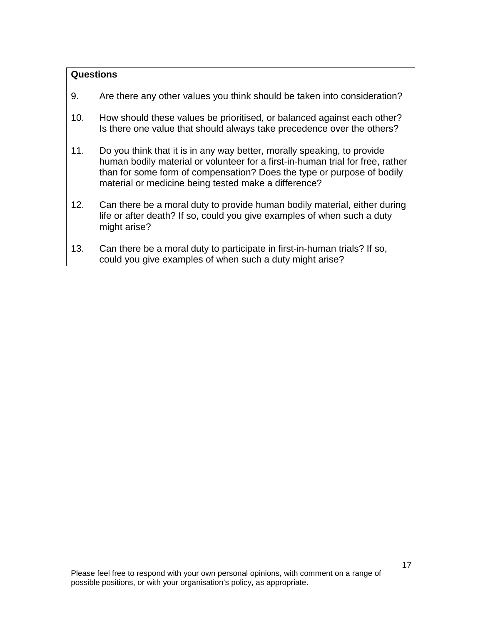#### **Questions**

- 9. Are there any other values you think should be taken into consideration?
- 10. How should these values be prioritised, or balanced against each other? Is there one value that should always take precedence over the others?
- 11. Do you think that it is in any way better, morally speaking, to provide human bodily material or volunteer for a first-in-human trial for free, rather than for some form of compensation? Does the type or purpose of bodily material or medicine being tested make a difference?
- 12. Can there be a moral duty to provide human bodily material, either during life or after death? If so, could you give examples of when such a duty might arise?
- 13. Can there be a moral duty to participate in first-in-human trials? If so, could you give examples of when such a duty might arise?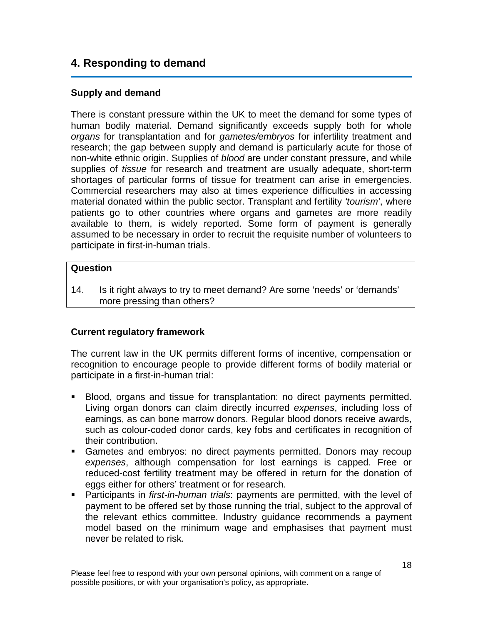# <span id="page-17-0"></span>**4. Responding to demand**

#### <span id="page-17-1"></span>**Supply and demand**

There is constant pressure within the UK to meet the demand for some types of human bodily material. Demand significantly exceeds supply both for whole *organs* for transplantation and for *gametes/embryos* for infertility treatment and research; the gap between supply and demand is particularly acute for those of non-white ethnic origin. Supplies of *blood* are under constant pressure, and while supplies of *tissue* for research and treatment are usually adequate, short-term shortages of particular forms of tissue for treatment can arise in emergencies. Commercial researchers may also at times experience difficulties in accessing material donated within the public sector. Transplant and fertility *'tourism'*, where patients go to other countries where organs and gametes are more readily available to them, is widely reported. Some form of payment is generally assumed to be necessary in order to recruit the requisite number of volunteers to participate in first-in-human trials.

#### **Question**

14. Is it right always to try to meet demand? Are some 'needs' or 'demands' more pressing than others?

#### <span id="page-17-2"></span>**Current regulatory framework**

The current law in the UK permits different forms of incentive, compensation or recognition to encourage people to provide different forms of bodily material or participate in a first-in-human trial:

- Blood, organs and tissue for transplantation: no direct payments permitted. Living organ donors can claim directly incurred *expenses*, including loss of earnings, as can bone marrow donors. Regular blood donors receive awards, such as colour-coded donor cards, key fobs and certificates in recognition of their contribution.
- Gametes and embryos: no direct payments permitted. Donors may recoup *expenses*, although compensation for lost earnings is capped. Free or reduced-cost fertility treatment may be offered in return for the donation of eggs either for others' treatment or for research.
- Participants in *first-in-human trials*: payments are permitted, with the level of payment to be offered set by those running the trial, subject to the approval of the relevant ethics committee. Industry guidance recommends a payment model based on the minimum wage and emphasises that payment must never be related to risk.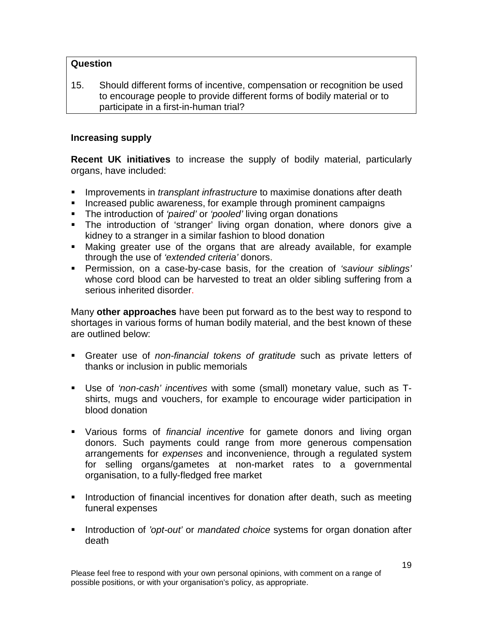#### **Question**

15. Should different forms of incentive, compensation or recognition be used to encourage people to provide different forms of bodily material or to participate in a first-in-human trial?

#### <span id="page-18-0"></span>**Increasing supply**

**Recent UK initiatives** to increase the supply of bodily material, particularly organs, have included:

- **IMPRO** Improvements in *transplant infrastructure* to maximise donations after death
- **Increased public awareness, for example through prominent campaigns**
- The introduction of *'paired'* or *'pooled'* living organ donations
- The introduction of 'stranger' living organ donation, where donors give a kidney to a stranger in a similar fashion to blood donation
- Making greater use of the organs that are already available, for example through the use of *'extended criteria'* donors.
- Permission, on a case-by-case basis, for the creation of *'saviour siblings'* whose cord blood can be harvested to treat an older sibling suffering from a serious inherited disorder.

Many **other approaches** have been put forward as to the best way to respond to shortages in various forms of human bodily material, and the best known of these are outlined below:

- Greater use of *non-financial tokens of gratitude* such as private letters of thanks or inclusion in public memorials
- Use of *'non-cash' incentives* with some (small) monetary value, such as Tshirts, mugs and vouchers, for example to encourage wider participation in blood donation
- Various forms of *financial incentive* for gamete donors and living organ donors. Such payments could range from more generous compensation arrangements for *expenses* and inconvenience, through a regulated system for selling organs/gametes at non-market rates to a governmental organisation, to a fully-fledged free market
- **Introduction of financial incentives for donation after death, such as meeting** funeral expenses
- **Introduction of** *'opt-out'* or *mandated choice* systems for organ donation after death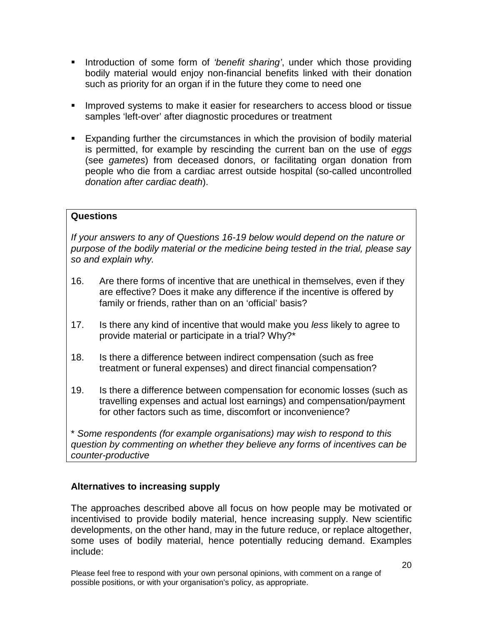- Introduction of some form of *'benefit sharing'*, under which those providing bodily material would enjoy non-financial benefits linked with their donation such as priority for an organ if in the future they come to need one
- **IMPROVED Systems to make it easier for researchers to access blood or tissue** samples 'left-over' after diagnostic procedures or treatment
- Expanding further the circumstances in which the provision of bodily material is permitted, for example by rescinding the current ban on the use of *eggs* (see *gametes*) from deceased donors, or facilitating organ donation from people who die from a cardiac arrest outside hospital (so-called uncontrolled *donation after cardiac death*).

#### **Questions**

*If your answers to any of Questions 16-19 below would depend on the nature or purpose of the bodily material or the medicine being tested in the trial, please say so and explain why.*

- 16. Are there forms of incentive that are unethical in themselves, even if they are effective? Does it make any difference if the incentive is offered by family or friends, rather than on an 'official' basis?
- 17. Is there any kind of incentive that would make you *less* likely to agree to provide material or participate in a trial? Why?\*
- 18. Is there a difference between indirect compensation (such as free treatment or funeral expenses) and direct financial compensation?
- 19. Is there a difference between compensation for economic losses (such as travelling expenses and actual lost earnings) and compensation/payment for other factors such as time, discomfort or inconvenience?

\* *Some respondents (for example organisations) may wish to respond to this question by commenting on whether they believe any forms of incentives can be counter-productive*

#### <span id="page-19-0"></span>**Alternatives to increasing supply**

The approaches described above all focus on how people may be motivated or incentivised to provide bodily material, hence increasing supply. New scientific developments, on the other hand, may in the future reduce, or replace altogether, some uses of bodily material, hence potentially reducing demand. Examples include: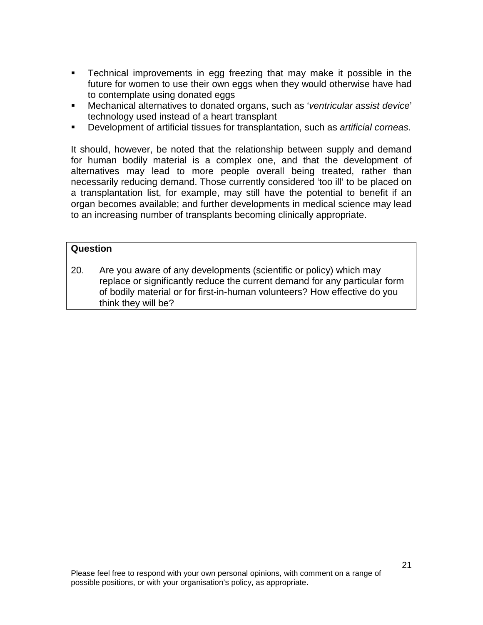- Technical improvements in egg freezing that may make it possible in the future for women to use their own eggs when they would otherwise have had to contemplate using donated eggs
- Mechanical alternatives to donated organs, such as '*ventricular assist device*' technology used instead of a heart transplant
- Development of artificial tissues for transplantation, such as *artificial corneas*.

It should, however, be noted that the relationship between supply and demand for human bodily material is a complex one, and that the development of alternatives may lead to more people overall being treated, rather than necessarily reducing demand. Those currently considered 'too ill' to be placed on a transplantation list, for example, may still have the potential to benefit if an organ becomes available; and further developments in medical science may lead to an increasing number of transplants becoming clinically appropriate.

#### **Question**

20. Are you aware of any developments (scientific or policy) which may replace or significantly reduce the current demand for any particular form of bodily material or for first-in-human volunteers? How effective do you think they will be?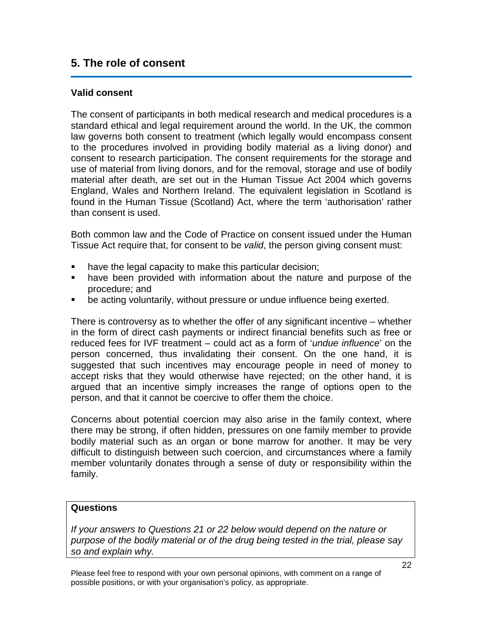## <span id="page-21-0"></span>**5. The role of consent**

#### <span id="page-21-1"></span>**Valid consent**

The consent of participants in both medical research and medical procedures is a standard ethical and legal requirement around the world. In the UK, the common law governs both consent to treatment (which legally would encompass consent to the procedures involved in providing bodily material as a living donor) and consent to research participation. The consent requirements for the storage and use of material from living donors, and for the removal, storage and use of bodily material after death, are set out in the Human Tissue Act 2004 which governs England, Wales and Northern Ireland. The equivalent legislation in Scotland is found in the Human Tissue (Scotland) Act, where the term 'authorisation' rather than consent is used.

Both common law and the Code of Practice on consent issued under the Human Tissue Act require that, for consent to be *valid*, the person giving consent must:

- **have the legal capacity to make this particular decision;**
- have been provided with information about the nature and purpose of the procedure; and
- be acting voluntarily, without pressure or undue influence being exerted.

There is controversy as to whether the offer of any significant incentive – whether in the form of direct cash payments or indirect financial benefits such as free or reduced fees for IVF treatment – could act as a form of '*undue influence*' on the person concerned, thus invalidating their consent. On the one hand, it is suggested that such incentives may encourage people in need of money to accept risks that they would otherwise have rejected; on the other hand, it is argued that an incentive simply increases the range of options open to the person, and that it cannot be coercive to offer them the choice.

Concerns about potential coercion may also arise in the family context, where there may be strong, if often hidden, pressures on one family member to provide bodily material such as an organ or bone marrow for another. It may be very difficult to distinguish between such coercion, and circumstances where a family member voluntarily donates through a sense of duty or responsibility within the family.

#### **Questions**

*If your answers to Questions 21 or 22 below would depend on the nature or purpose of the bodily material or of the drug being tested in the trial, please say so and explain why.*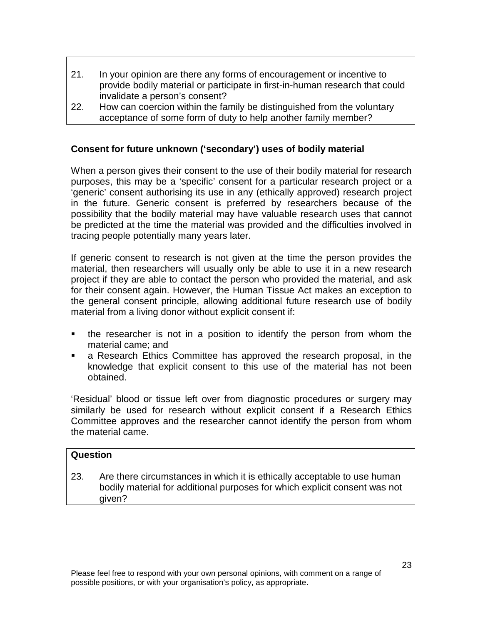- 21. In your opinion are there any forms of encouragement or incentive to provide bodily material or participate in first-in-human research that could invalidate a person's consent?
- 22. How can coercion within the family be distinguished from the voluntary acceptance of some form of duty to help another family member?

#### <span id="page-22-0"></span>**Consent for future unknown ('secondary') uses of bodily material**

When a person gives their consent to the use of their bodily material for research purposes, this may be a 'specific' consent for a particular research project or a 'generic' consent authorising its use in any (ethically approved) research project in the future. Generic consent is preferred by researchers because of the possibility that the bodily material may have valuable research uses that cannot be predicted at the time the material was provided and the difficulties involved in tracing people potentially many years later.

If generic consent to research is not given at the time the person provides the material, then researchers will usually only be able to use it in a new research project if they are able to contact the person who provided the material, and ask for their consent again. However, the Human Tissue Act makes an exception to the general consent principle, allowing additional future research use of bodily material from a living donor without explicit consent if:

- the researcher is not in a position to identify the person from whom the material came; and
- a Research Ethics Committee has approved the research proposal, in the knowledge that explicit consent to this use of the material has not been obtained.

'Residual' blood or tissue left over from diagnostic procedures or surgery may similarly be used for research without explicit consent if a Research Ethics Committee approves and the researcher cannot identify the person from whom the material came.

#### **Question**

23. Are there circumstances in which it is ethically acceptable to use human bodily material for additional purposes for which explicit consent was not given?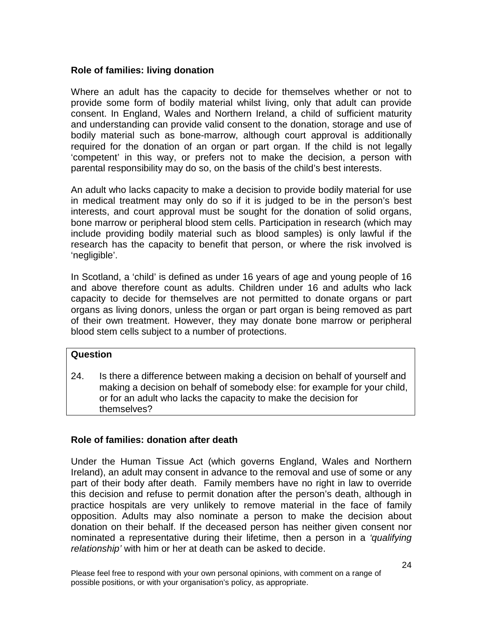#### <span id="page-23-0"></span>**Role of families: living donation**

Where an adult has the capacity to decide for themselves whether or not to provide some form of bodily material whilst living, only that adult can provide consent. In England, Wales and Northern Ireland, a child of sufficient maturity and understanding can provide valid consent to the donation, storage and use of bodily material such as bone-marrow, although court approval is additionally required for the donation of an organ or part organ. If the child is not legally 'competent' in this way, or prefers not to make the decision, a person with parental responsibility may do so, on the basis of the child's best interests.

An adult who lacks capacity to make a decision to provide bodily material for use in medical treatment may only do so if it is judged to be in the person's best interests, and court approval must be sought for the donation of solid organs, bone marrow or peripheral blood stem cells. Participation in research (which may include providing bodily material such as blood samples) is only lawful if the research has the capacity to benefit that person, or where the risk involved is 'negligible'.

In Scotland, a 'child' is defined as under 16 years of age and young people of 16 and above therefore count as adults. Children under 16 and adults who lack capacity to decide for themselves are not permitted to donate organs or part organs as living donors, unless the organ or part organ is being removed as part of their own treatment. However, they may donate bone marrow or peripheral blood stem cells subject to a number of protections.

#### **Question**

24. Is there a difference between making a decision on behalf of yourself and making a decision on behalf of somebody else: for example for your child, or for an adult who lacks the capacity to make the decision for themselves?

#### <span id="page-23-1"></span>**Role of families: donation after death**

Under the Human Tissue Act (which governs England, Wales and Northern Ireland), an adult may consent in advance to the removal and use of some or any part of their body after death. Family members have no right in law to override this decision and refuse to permit donation after the person's death, although in practice hospitals are very unlikely to remove material in the face of family opposition. Adults may also nominate a person to make the decision about donation on their behalf. If the deceased person has neither given consent nor nominated a representative during their lifetime, then a person in a *'qualifying relationship'* with him or her at death can be asked to decide.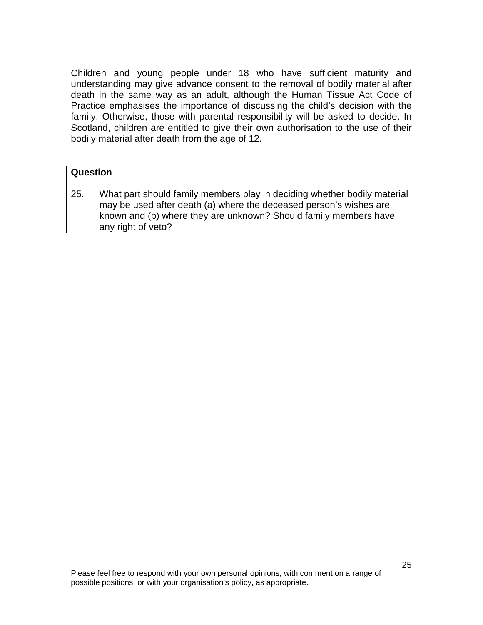Children and young people under 18 who have sufficient maturity and understanding may give advance consent to the removal of bodily material after death in the same way as an adult, although the Human Tissue Act Code of Practice emphasises the importance of discussing the child's decision with the family. Otherwise, those with parental responsibility will be asked to decide. In Scotland, children are entitled to give their own authorisation to the use of their bodily material after death from the age of 12.

#### **Question**

25. What part should family members play in deciding whether bodily material may be used after death (a) where the deceased person's wishes are known and (b) where they are unknown? Should family members have any right of veto?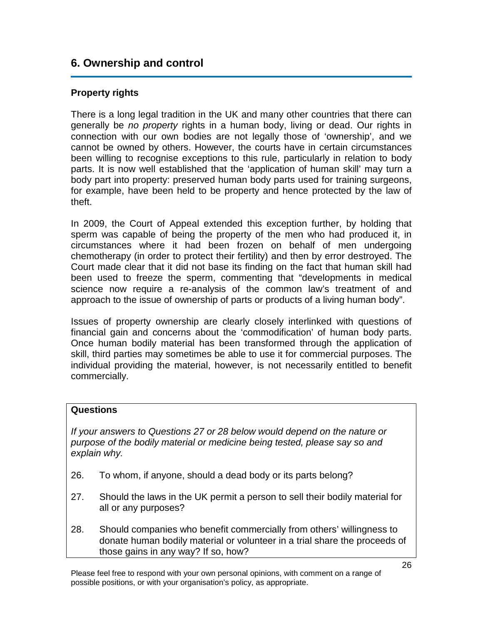# <span id="page-25-0"></span>**6. Ownership and control**

#### <span id="page-25-1"></span>**Property rights**

There is a long legal tradition in the UK and many other countries that there can generally be *no property* rights in a human body, living or dead. Our rights in connection with our own bodies are not legally those of 'ownership', and we cannot be owned by others. However, the courts have in certain circumstances been willing to recognise exceptions to this rule, particularly in relation to body parts. It is now well established that the 'application of human skill' may turn a body part into property: preserved human body parts used for training surgeons, for example, have been held to be property and hence protected by the law of theft.

In 2009, the Court of Appeal extended this exception further, by holding that sperm was capable of being the property of the men who had produced it, in circumstances where it had been frozen on behalf of men undergoing chemotherapy (in order to protect their fertility) and then by error destroyed. The Court made clear that it did not base its finding on the fact that human skill had been used to freeze the sperm, commenting that "developments in medical science now require a re-analysis of the common law's treatment of and approach to the issue of ownership of parts or products of a living human body".

Issues of property ownership are clearly closely interlinked with questions of financial gain and concerns about the 'commodification' of human body parts. Once human bodily material has been transformed through the application of skill, third parties may sometimes be able to use it for commercial purposes. The individual providing the material, however, is not necessarily entitled to benefit commercially.

#### **Questions**

*If your answers to Questions 27 or 28 below would depend on the nature or purpose of the bodily material or medicine being tested, please say so and explain why.*

- 26. To whom, if anyone, should a dead body or its parts belong?
- 27. Should the laws in the UK permit a person to sell their bodily material for all or any purposes?
- 28. Should companies who benefit commercially from others' willingness to donate human bodily material or volunteer in a trial share the proceeds of those gains in any way? If so, how?

Please feel free to respond with your own personal opinions, with comment on a range of possible positions, or with your organisation's policy, as appropriate.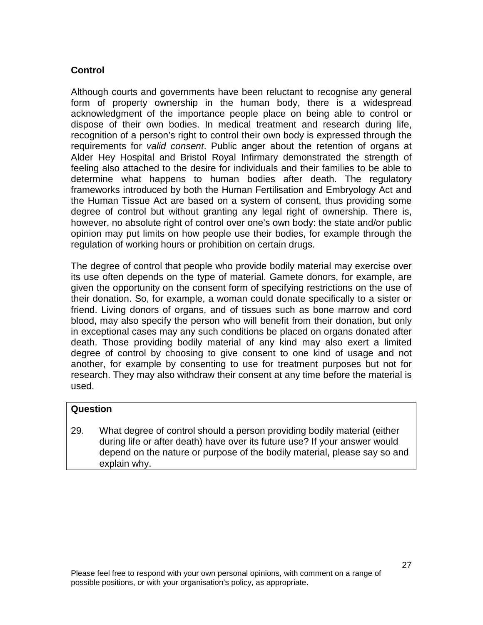#### <span id="page-26-0"></span>**Control**

Although courts and governments have been reluctant to recognise any general form of property ownership in the human body, there is a widespread acknowledgment of the importance people place on being able to control or dispose of their own bodies. In medical treatment and research during life, recognition of a person's right to control their own body is expressed through the requirements for *valid consent*. Public anger about the retention of organs at Alder Hey Hospital and Bristol Royal Infirmary demonstrated the strength of feeling also attached to the desire for individuals and their families to be able to determine what happens to human bodies after death. The regulatory frameworks introduced by both the Human Fertilisation and Embryology Act and the Human Tissue Act are based on a system of consent, thus providing some degree of control but without granting any legal right of ownership. There is, however, no absolute right of control over one's own body: the state and/or public opinion may put limits on how people use their bodies, for example through the regulation of working hours or prohibition on certain drugs.

The degree of control that people who provide bodily material may exercise over its use often depends on the type of material. Gamete donors, for example, are given the opportunity on the consent form of specifying restrictions on the use of their donation. So, for example, a woman could donate specifically to a sister or friend. Living donors of organs, and of tissues such as bone marrow and cord blood, may also specify the person who will benefit from their donation, but only in exceptional cases may any such conditions be placed on organs donated after death. Those providing bodily material of any kind may also exert a limited degree of control by choosing to give consent to one kind of usage and not another, for example by consenting to use for treatment purposes but not for research. They may also withdraw their consent at any time before the material is used.

#### **Question**

29. What degree of control should a person providing bodily material (either during life or after death) have over its future use? If your answer would depend on the nature or purpose of the bodily material, please say so and explain why.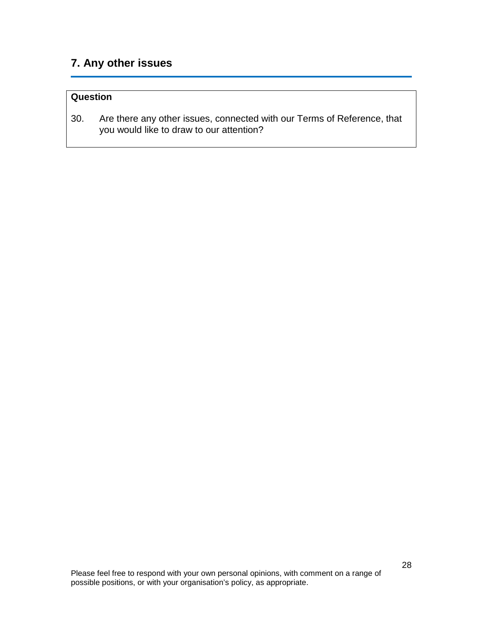# <span id="page-27-0"></span>**7. Any other issues**

#### **Question**

30. Are there any other issues, connected with our Terms of Reference, that you would like to draw to our attention?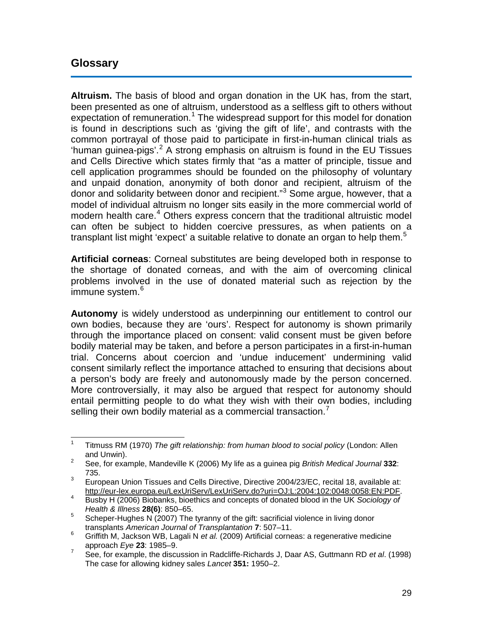### <span id="page-28-0"></span>**Glossary**

**Altruism.** The basis of blood and organ donation in the UK has, from the start, been presented as one of altruism, understood as a selfless gift to others without expectation of remuneration.<sup>[1](#page-28-1)</sup> The widespread support for this model for donation is found in descriptions such as 'giving the gift of life', and contrasts with the common portrayal of those paid to participate in first-in-human clinical trials as 'human guinea-pigs'.<sup>[2](#page-28-2)</sup> A strong emphasis on altruism is found in the EU Tissues and Cells Directive which states firmly that "as a matter of principle, tissue and cell application programmes should be founded on the philosophy of voluntary and unpaid donation, anonymity of both donor and recipient, altruism of the donor and solidarity between donor and recipient."<sup>[3](#page-28-3)</sup> Some argue, however, that a model of individual altruism no longer sits easily in the more commercial world of modern health care. [4](#page-28-4) Others express concern that the traditional altruistic model can often be subject to hidden coercive pressures, as when patients on a transplant list might 'expect' a suitable relative to donate an organ to help them. $5$ 

**Artificial corneas**: Corneal substitutes are being developed both in response to the shortage of donated corneas, and with the aim of overcoming clinical problems involved in the use of donated material such as rejection by the immune system.<sup>[6](#page-28-6)</sup>

**Autonomy** is widely understood as underpinning our entitlement to control our own bodies, because they are 'ours'. Respect for autonomy is shown primarily through the importance placed on consent: valid consent must be given before bodily material may be taken, and before a person participates in a first-in-human trial. Concerns about coercion and 'undue inducement' undermining valid consent similarly reflect the importance attached to ensuring that decisions about a person's body are freely and autonomously made by the person concerned. More controversially, it may also be argued that respect for autonomy should entail permitting people to do what they wish with their own bodies, including selling their own bodily material as a commercial transaction.

<span id="page-28-1"></span> <sup>1</sup> Titmuss RM (1970) *The gift relationship: from human blood to social policy* (London: Allen and Unwin). <sup>2</sup> See, for example, Mandeville K (2006) My life as a guinea pig *British Medical Journal* **<sup>332</sup>**:

<span id="page-28-2"></span><sup>735.</sup>

<span id="page-28-3"></span><sup>&</sup>lt;sup>3</sup> European Union Tissues and Cells Directive, Directive 2004/23/EC, recital 18, available at:<br>http://eur-lex.europa.eu/LexUriServ/LexUriServ.do?uri=OJ:L:2004:102:0048:0058:EN:PDF.

<span id="page-28-4"></span><sup>&</sup>lt;sup>4</sup> Busby H (2006) Biobanks, bioethics and concepts of donated blood in the UK *Sociology of Health & Illness* **28(6)**: 850–65.

<span id="page-28-5"></span><sup>&</sup>lt;sup>5</sup> Scheper-Hughes N (2007) The tyranny of the gift: sacrificial violence in living donor transplants *American Journal of Transplantation* **7**: 507–11.

<span id="page-28-6"></span><sup>6</sup> Griffith M, Jackson WB, Lagali N *et al.* (2009) Artificial corneas: a regenerative medicine approach *Eye* 23: 1985–9.

<span id="page-28-7"></span>approach *Eye* **<sup>23</sup>**: 1985–9. <sup>7</sup> See, for example, the discussion in Radcliffe-Richards J, Daar AS, Guttmann RD *et al*. (1998) The case for allowing kidney sales *Lancet* **351:** 1950–2.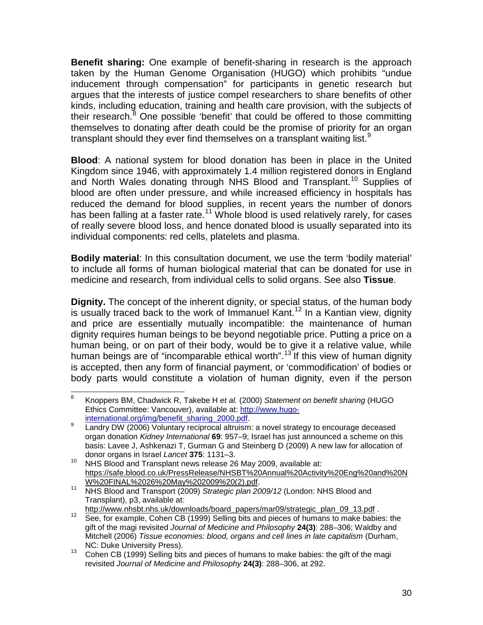**Benefit sharing:** One example of benefit-sharing in research is the approach taken by the Human Genome Organisation (HUGO) which prohibits "undue inducement through compensation" for participants in genetic research but argues that the interests of justice compel researchers to share benefits of other kinds, including education, training and health care provision, with the subjects of their research.<sup>[8](#page-29-0)</sup> One possible 'benefit' that could be offered to those committing themselves to donating after death could be the promise of priority for an organ transplant should they ever find themselves on a transplant waiting list.<sup>[9](#page-29-1)</sup>

**Blood**: A national system for blood donation has been in place in the United Kingdom since 1946, with approximately 1.4 million registered donors in England and North Wales donating through NHS Blood and Transplant.<sup>[10](#page-29-2)</sup> Supplies of blood are often under pressure, and while increased efficiency in hospitals has reduced the demand for blood supplies, in recent years the number of donors has been falling at a faster rate.<sup>[11](#page-29-3)</sup> Whole blood is used relatively rarely, for cases of really severe blood loss, and hence donated blood is usually separated into its individual components: red cells, platelets and plasma.

**Bodily material**: In this consultation document, we use the term 'bodily material' to include all forms of human biological material that can be donated for use in medicine and research, from individual cells to solid organs. See also **Tissue**.

**Dignity.** The concept of the inherent dignity, or special status, of the human body is usually traced back to the work of Immanuel Kant.<sup>[12](#page-29-4)</sup> In a Kantian view, dignity and price are essentially mutually incompatible: the maintenance of human dignity requires human beings to be beyond negotiable price. Putting a price on a human being, or on part of their body, would be to give it a relative value, while human beings are of "incomparable ethical worth".<sup>[13](#page-29-5)</sup> If this view of human dignity is accepted, then any form of financial payment, or 'commodification' of bodies or body parts would constitute a violation of human dignity, even if the person

<span id="page-29-0"></span> <sup>8</sup> Knoppers BM, Chadwick R, Takebe H *et al.* (2000) *Statement on benefit sharing* (HUGO Ethics Committee: Vancouver), available at: [http://www.hugo-](http://www.hugo-international.org/img/benefit_sharing_2000.pdf)

<span id="page-29-1"></span>[international.org/img/benefit\\_sharing\\_2000.pdf. 9](http://www.hugo-international.org/img/benefit_sharing_2000.pdf) Landry DW (2006) Voluntary reciprocal altruism: a novel strategy to encourage deceased organ donation *Kidney International* **69**: 957–9; Israel has just announced a scheme on this basis: Lavee J, Ashkenazi T, Gurman G and Steinberg D (2009) A new law for allocation of donor organs in Israel *Lancet* **375**: 1131–3.

<span id="page-29-2"></span><sup>&</sup>lt;sup>10</sup> NHS Blood and Transplant news release 26 May 2009, available at: [https://safe.blood.co.uk/PressRelease/NHSBT%20Annual%20Activity%20Eng%20and%20N](https://safe.blood.co.uk/PressRelease/NHSBT%20Annual%20Activity%20Eng%20and%20NW%20FINAL%2026%20May%202009%20(2).pdf)<br>W%20FINAL%2026%20May%202009%20(2).pdf.

<span id="page-29-3"></span><sup>&</sup>lt;sup>[11](https://safe.blood.co.uk/PressRelease/NHSBT%20Annual%20Activity%20Eng%20and%20NW%20FINAL%2026%20May%202009%20(2).pdf)</sup> NHS Blood and Transport (2009) Strategic plan 2009/12 (London: NHS Blood and Transplant), p3, available at:<br>http://www.nhsbt.nhs.uk/downloads/board papers/mar09/strategic plan 09 13.pdf.

<span id="page-29-4"></span>https://www.nharonhardom.nhs.uk/downloads/board\_papers/maros/strategic\_plan\_000\_13.pdf . 12<br>See, for example, Cohen CB (1999) Selling bits and pieces of humans to make babies: the gift of the magi revisited *Journal of Medicine and Philosophy* **24(3)**: 288–306; Waldby and Mitchell (2006) *Tissue economies: blood, organs and cell lines in late capitalism* (Durham,

<span id="page-29-5"></span>NC: Duke University Press).<br><sup>13</sup> Cohen CB (1999) Selling bits and pieces of humans to make babies: the gift of the magi revisited *Journal of Medicine and Philosophy* **24(3)**: 288–306, at 292.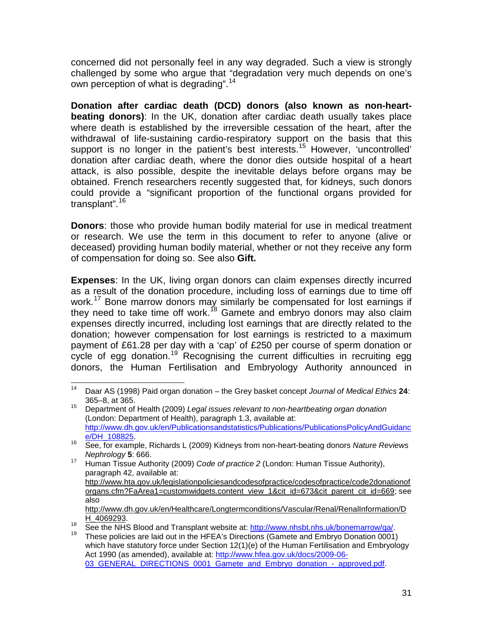concerned did not personally feel in any way degraded. Such a view is strongly challenged by some who argue that "degradation very much depends on one's own perception of what is degrading".<sup>[14](#page-30-0)</sup>

**Donation after cardiac death (DCD) donors (also known as non-heartbeating donors)**: In the UK, donation after cardiac death usually takes place where death is established by the irreversible cessation of the heart, after the withdrawal of life-sustaining cardio-respiratory support on the basis that this support is no longer in the patient's best interests.<sup>[15](#page-30-1)</sup> However, 'uncontrolled' donation after cardiac death, where the donor dies outside hospital of a heart attack, is also possible, despite the inevitable delays before organs may be obtained. French researchers recently suggested that, for kidneys, such donors could provide a "significant proportion of the functional organs provided for transplant".<sup>[16](#page-30-2)</sup>

**Donors**: those who provide human bodily material for use in medical treatment or research. We use the term in this document to refer to anyone (alive or deceased) providing human bodily material, whether or not they receive any form of compensation for doing so. See also **Gift.**

**Expenses**: In the UK, living organ donors can claim expenses directly incurred as a result of the donation procedure, including loss of earnings due to time off work.<sup>[17](#page-30-3)</sup> Bone marrow donors may similarly be compensated for lost earnings if they need to take time off work.<sup>[18](#page-30-4)</sup> Gamete and embryo donors may also claim expenses directly incurred, including lost earnings that are directly related to the donation; however compensation for lost earnings is restricted to a maximum payment of £61.28 per day with a 'cap' of £250 per course of sperm donation or cycle of egg donation.<sup>[19](#page-30-5)</sup> Recognising the current difficulties in recruiting egg donors, the Human Fertilisation and Embryology Authority announced in

<span id="page-30-0"></span> <sup>14</sup> Daar AS (1998) Paid organ donation – the Grey basket concept *Journal of Medical Ethics* **<sup>24</sup>**: 365–8, at 365.

<span id="page-30-1"></span><sup>15</sup> Department of Health (2009) *Legal issues relevant to non-heartbeating organ donation* (London: Department of Health), paragraph 1.3, available at: [http://www.dh.gov.uk/en/Publicationsandstatistics/Publications/PublicationsPolicyAndGuidanc](http://www.dh.gov.uk/en/Publicationsandstatistics/Publications/PublicationsPolicyAndGuidance/DH_108825)e<br>e/DH 108825.

<span id="page-30-2"></span>[<sup>16</sup>](http://www.dh.gov.uk/en/Publicationsandstatistics/Publications/PublicationsPolicyAndGuidance/DH_108825) See, for example, Richards L (2009) Kidneys from non-heart-beating donors *Nature Reviews* 

<span id="page-30-3"></span>*Nephrology* **5**: 666. <sup>17</sup> Human Tissue Authority (2009) *Code of practice 2* (London: Human Tissue Authority), paragraph 42, available at: [http://www.hta.gov.uk/legislationpoliciesandcodesofpractice/codesofpractice/code2donationof](http://www.hta.gov.uk/legislationpoliciesandcodesofpractice/codesofpractice/code2donationoforgans.cfm?FaArea1=customwidgets.content_view_1&cit_id=673&cit_parent_cit_id=669) [organs.cfm?FaArea1=customwidgets.content\\_view\\_1&cit\\_id=673&cit\\_parent\\_cit\\_id=669;](http://www.hta.gov.uk/legislationpoliciesandcodesofpractice/codesofpractice/code2donationoforgans.cfm?FaArea1=customwidgets.content_view_1&cit_id=673&cit_parent_cit_id=669) see also [http://www.dh.gov.uk/en/Healthcare/Longtermconditions/Vascular/Renal/RenalInformation/D](http://www.dh.gov.uk/en/Healthcare/Longtermconditions/Vascular/Renal/RenalInformation/DH_4069293)

<span id="page-30-4"></span> $\frac{H}{18}$  See the NHS Blood and Transplant website at: [http://www.nhsbt.nhs.uk/bonemarrow/qa/.](http://www.nhsbt.nhs.uk/bonemarrow/qa/)<br><sup>19</sup> These policies are laid out in the HFEA's Directions (Gamete and Embryo Donation 0001)

<span id="page-30-5"></span>which have statutory force under Section 12(1)(e) of the Human Fertilisation and Embryology Act 1990 (as amended), available at: [http://www.hfea.gov.uk/docs/2009-06-](http://www.hfea.gov.uk/docs/2009-06-03_GENERAL_DIRECTIONS_0001_Gamete_and_Embryo_donation_-_approved.pdf) 03\_GENERAL\_DIRECTIONS\_0001\_Gamete\_and\_Embryo\_donation -\_approved.pdf.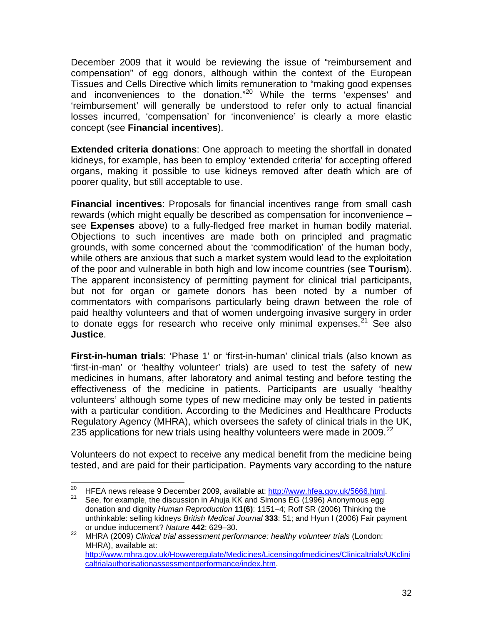December 2009 that it would be reviewing the issue of "reimbursement and compensation" of egg donors, although within the context of the European Tissues and Cells Directive which limits remuneration to "making good expenses and inconveniences to the donation."<sup>[20](#page-31-0)</sup> While the terms 'expenses' and 'reimbursement' will generally be understood to refer only to actual financial losses incurred, 'compensation' for 'inconvenience' is clearly a more elastic concept (see **Financial incentives**).

**Extended criteria donations**: One approach to meeting the shortfall in donated kidneys, for example, has been to employ 'extended criteria' for accepting offered organs, making it possible to use kidneys removed after death which are of poorer quality, but still acceptable to use.

**Financial incentives**: Proposals for financial incentives range from small cash rewards (which might equally be described as compensation for inconvenience – see **Expenses** above) to a fully-fledged free market in human bodily material. Objections to such incentives are made both on principled and pragmatic grounds, with some concerned about the 'commodification' of the human body, while others are anxious that such a market system would lead to the exploitation of the poor and vulnerable in both high and low income countries (see **Tourism**). The apparent inconsistency of permitting payment for clinical trial participants, but not for organ or gamete donors has been noted by a number of commentators with comparisons particularly being drawn between the role of paid healthy volunteers and that of women undergoing invasive surgery in order to donate eggs for research who receive only minimal expenses.<sup>[21](#page-31-1)</sup> See also **Justice**.

**First-in-human trials**: 'Phase 1' or 'first-in-human' clinical trials (also known as 'first-in-man' or 'healthy volunteer' trials) are used to test the safety of new medicines in humans, after laboratory and animal testing and before testing the effectiveness of the medicine in patients. Participants are usually 'healthy volunteers' although some types of new medicine may only be tested in patients with a particular condition. According to the Medicines and Healthcare Products Regulatory Agency (MHRA), which oversees the safety of clinical trials in the UK, 235 applications for new trials using healthy volunteers were made in 2009.<sup>[22](#page-31-2)</sup>

Volunteers do not expect to receive any medical benefit from the medicine being tested, and are paid for their participation. Payments vary according to the nature

<span id="page-31-1"></span><span id="page-31-0"></span><sup>&</sup>lt;sup>20</sup> HFEA news release 9 December 2009, available at:  $\frac{http://www.hfea.gov.uk/5666.html}{http://www.hfea.gov.uk/5666.html}$ .<br><sup>21</sup> See, for example, the discussion in Ahuja KK and Simons EG (1996) Anonymous egg

donation and dignity *Human Reproduction* **11(6)**: 1151–4; Roff SR (2006) Thinking the unthinkable: selling kidneys *British Medical Journal* **333**: 51; and Hyun I (2006) Fair payment or undue inducement? *Nature* **442**: 629–30.

<span id="page-31-2"></span><sup>22</sup> MHRA (2009) *Clinical trial assessment performance: healthy volunteer trials* (London: MHRA), available at: [http://www.mhra.gov.uk/Howweregulate/Medicines/Licensingofmedicines/Clinicaltrials/UKclini](http://www.mhra.gov.uk/Howweregulate/Medicines/Licensingofmedicines/Clinicaltrials/UKclinicaltrialauthorisationassessmentperformance/index.htm) [caltrialauthorisationassessmentperformance/index.htm.](http://www.mhra.gov.uk/Howweregulate/Medicines/Licensingofmedicines/Clinicaltrials/UKclinicaltrialauthorisationassessmentperformance/index.htm)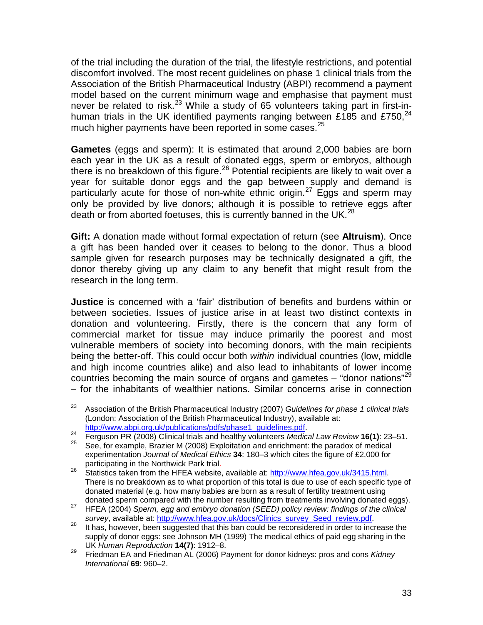of the trial including the duration of the trial, the lifestyle restrictions, and potential discomfort involved. The most recent guidelines on phase 1 clinical trials from the Association of the British Pharmaceutical Industry (ABPI) recommend a payment model based on the current minimum wage and emphasise that payment must never be related to risk.<sup>[23](#page-32-0)</sup> While a study of 65 volunteers taking part in first-in-human trials in the UK identified payments ranging between £185 and £750.<sup>[24](#page-32-1)</sup> much higher payments have been reported in some cases.<sup>[25](#page-32-2)</sup>

**Gametes** (eggs and sperm): It is estimated that around 2,000 babies are born each year in the UK as a result of donated eggs, sperm or embryos, although there is no breakdown of this figure.<sup>[26](#page-32-3)</sup> Potential recipients are likely to wait over a year for suitable donor eggs and the gap between supply and demand is particularly acute for those of non-white ethnic origin.<sup>[27](#page-32-4)</sup> Eggs and sperm may only be provided by live donors; although it is possible to retrieve eggs after death or from aborted foetuses, this is currently banned in the UK. $^{28}$  $^{28}$  $^{28}$ 

**Gift:** A donation made without formal expectation of return (see **Altruism**). Once a gift has been handed over it ceases to belong to the donor. Thus a blood sample given for research purposes may be technically designated a gift, the donor thereby giving up any claim to any benefit that might result from the research in the long term.

**Justice** is concerned with a 'fair' distribution of benefits and burdens within or between societies. Issues of justice arise in at least two distinct contexts in donation and volunteering. Firstly, there is the concern that any form of commercial market for tissue may induce primarily the poorest and most vulnerable members of society into becoming donors, with the main recipients being the better-off. This could occur both *within* individual countries (low, middle and high income countries alike) and also lead to inhabitants of lower income countries becoming the main source of organs and gametes  $-$  "donor nations"<sup>[29](#page-32-6)</sup> – for the inhabitants of wealthier nations. Similar concerns arise in connection

<span id="page-32-0"></span> <sup>23</sup> Association of the British Pharmaceutical Industry (2007) *Guidelines for phase 1 clinical trials*  (London: Association of the British Pharmaceutical Industry), available at:

<span id="page-32-1"></span>[http://www.abpi.org.uk/publications/pdfs/phase1\\_guidelines.pdf.](http://www.abpi.org.uk/publications/pdfs/phase1_guidelines.pdf) <sup>24</sup> Ferguson PR (2008) Clinical trials and healthy volunteers *Medical Law Review* **16(1)**: 23–51.

<span id="page-32-2"></span><sup>25</sup> See, for example, Brazier M (2008) Exploitation and enrichment: the paradox of medical experimentation *Journal of Medical Ethics* **34**: 180–3 which cites the figure of £2,000 for

<span id="page-32-3"></span>participating in the Northwick Park trial. <sup>26</sup> Statistics taken from the HFEA website, available at: [http://www.hfea.gov.uk/3415.html.](http://www.hfea.gov.uk/3415.html) There is no breakdown as to what proportion of this total is due to use of each specific type of donated material (e.g. how many babies are born as a result of fertility treatment using<br>donated sperm compared with the number resulting from treatments involving donated eggs).

<span id="page-32-4"></span>donation sperm, egg and embryo donation (SEED) policy review: findings of the clinical<br>survey, available at: http://www.hfea.gov.uk/docs/Clinics survey Seed review.pdf.

<span id="page-32-5"></span>as the attempt and the attempt and the meaning of the survey of the survey, available considered in order to increase the left has, however, been suggested that this ban could be reconsidered in order to increase the supply of donor eggs: see Johnson MH (1999) The medical ethics of paid egg sharing in the UK *Human Reproduction* **14(7)**: 1912–8.

<span id="page-32-6"></span><sup>29</sup> Friedman EA and Friedman AL (2006) Payment for donor kidneys: pros and cons *Kidney International* **69**: 960–2.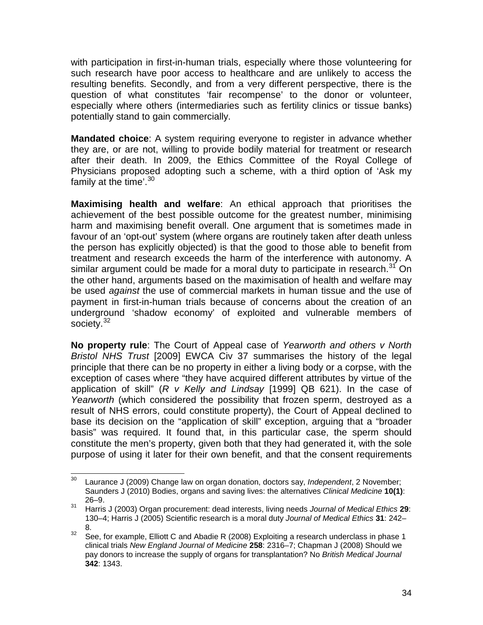with participation in first-in-human trials, especially where those volunteering for such research have poor access to healthcare and are unlikely to access the resulting benefits. Secondly, and from a very different perspective, there is the question of what constitutes 'fair recompense' to the donor or volunteer, especially where others (intermediaries such as fertility clinics or tissue banks) potentially stand to gain commercially.

**Mandated choice**: A system requiring everyone to register in advance whether they are, or are not, willing to provide bodily material for treatment or research after their death. In 2009, the Ethics Committee of the Royal College of Physicians proposed adopting such a scheme, with a third option of 'Ask my family at the time'. $30$ 

**Maximising health and welfare**: An ethical approach that prioritises the achievement of the best possible outcome for the greatest number, minimising harm and maximising benefit overall. One argument that is sometimes made in favour of an 'opt-out' system (where organs are routinely taken after death unless the person has explicitly objected) is that the good to those able to benefit from treatment and research exceeds the harm of the interference with autonomy. A similar argument could be made for a moral duty to participate in research. $31$  On the other hand, arguments based on the maximisation of health and welfare may be used *against* the use of commercial markets in human tissue and the use of payment in first-in-human trials because of concerns about the creation of an underground 'shadow economy' of exploited and vulnerable members of society.<sup>[32](#page-33-2)</sup>

**No property rule**: The Court of Appeal case of *Yearworth and others v North Bristol NHS Trust* [2009] EWCA Civ 37 summarises the history of the legal principle that there can be no property in either a living body or a corpse, with the exception of cases where "they have acquired different attributes by virtue of the application of skill" (*R v Kelly and Lindsay* [1999] QB 621). In the case of *Yearworth* (which considered the possibility that frozen sperm, destroyed as a result of NHS errors, could constitute property), the Court of Appeal declined to base its decision on the "application of skill" exception, arguing that a "broader basis" was required. It found that, in this particular case, the sperm should constitute the men's property, given both that they had generated it, with the sole purpose of using it later for their own benefit, and that the consent requirements

<span id="page-33-0"></span> <sup>30</sup> Laurance J (2009) Change law on organ donation, doctors say, *Independent*, 2 November; Saunders J (2010) Bodies, organs and saving lives: the alternatives *Clinical Medicine* **10(1)**: 26–9.

<span id="page-33-1"></span><sup>31</sup> Harris J (2003) Organ procurement: dead interests, living needs *Journal of Medical Ethics* **29**: 130–4; Harris J (2005) Scientific research is a moral duty *Journal of Medical Ethics* **31**: 242– 8.

<span id="page-33-2"></span> $32$  See, for example, Elliott C and Abadie R (2008) Exploiting a research underclass in phase 1 clinical trials *New England Journal of Medicine* **258**: 2316–7; Chapman J (2008) Should we pay donors to increase the supply of organs for transplantation? No *British Medical Journal* **342**: 1343.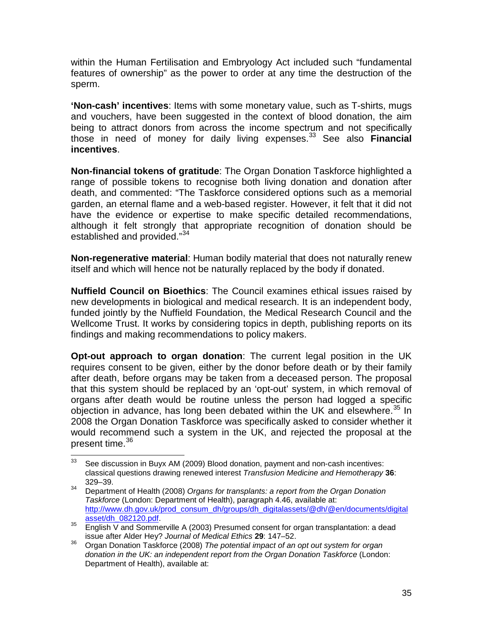within the Human Fertilisation and Embryology Act included such "fundamental features of ownership" as the power to order at any time the destruction of the sperm.

**'Non-cash' incentives**: Items with some monetary value, such as T-shirts, mugs and vouchers, have been suggested in the context of blood donation, the aim being to attract donors from across the income spectrum and not specifically those in need of money for daily living expenses.[33](#page-34-0) See also **Financial incentives**.

**Non-financial tokens of gratitude**: The Organ Donation Taskforce highlighted a range of possible tokens to recognise both living donation and donation after death, and commented: "The Taskforce considered options such as a memorial garden, an eternal flame and a web-based register. However, it felt that it did not have the evidence or expertise to make specific detailed recommendations, although it felt strongly that appropriate recognition of donation should be established and provided."<sup>[34](#page-34-1)</sup>

**Non-regenerative material**: Human bodily material that does not naturally renew itself and which will hence not be naturally replaced by the body if donated.

**Nuffield Council on Bioethics**: The Council examines ethical issues raised by new developments in biological and medical research. It is an independent body, funded jointly by the Nuffield Foundation, the Medical Research Council and the Wellcome Trust. It works by considering topics in depth, publishing reports on its findings and making recommendations to policy makers.

**Opt-out approach to organ donation**: The current legal position in the UK requires consent to be given, either by the donor before death or by their family after death, before organs may be taken from a deceased person. The proposal that this system should be replaced by an 'opt-out' system, in which removal of organs after death would be routine unless the person had logged a specific objection in advance, has long been debated within the UK and elsewhere. $35$  In 2008 the Organ Donation Taskforce was specifically asked to consider whether it would recommend such a system in the UK, and rejected the proposal at the present time.<sup>[36](#page-34-3)</sup>

<span id="page-34-0"></span> $33$  See discussion in Buyx AM (2009) Blood donation, payment and non-cash incentives: classical questions drawing renewed interest *Transfusion Medicine and Hemotherapy* **36**: 329–39.

<span id="page-34-1"></span><sup>34</sup> Department of Health (2008) *Organs for transplants: a report from the Organ Donation Taskforce* (London: Department of Health), paragraph 4.46, available at: [http://www.dh.gov.uk/prod\\_consum\\_dh/groups/dh\\_digitalassets/@dh/@en/documents/digital](http://www.dh.gov.uk/prod_consum_dh/groups/dh_digitalassets/@dh/@en/documents/digitalasset/dh_082120.pdf)<br>asset/dh\_082120.pdf

<span id="page-34-2"></span><sup>&</sup>lt;sup>35</sup> English V and Sommerville A (2003) Presumed consent for organ transplantation: a dead issue after Alder Hey? *Journal of Medical Ethics* **29**: 147–52.

<span id="page-34-3"></span><sup>36</sup> Organ Donation Taskforce (2008) *The potential impact of an opt out system for organ donation in the UK: an independent report from the Organ Donation Taskforce* (London: Department of Health), available at: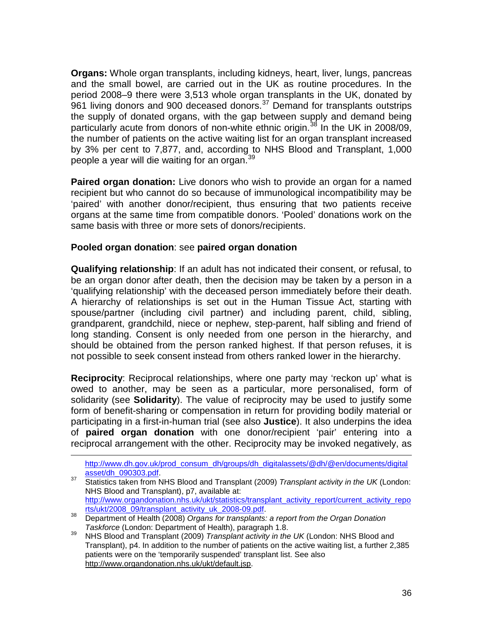**Organs:** Whole organ transplants, including kidneys, heart, liver, lungs, pancreas and the small bowel, are carried out in the UK as routine procedures. In the period 2008–9 there were 3,513 whole organ transplants in the UK, donated by  $961$  living donors and  $900$  deceased donors.<sup>[37](#page-35-0)</sup> Demand for transplants outstrips the supply of donated organs, with the gap between supply and demand being particularly acute from donors of non-white ethnic origin.<sup>[38](#page-35-1)</sup> In the UK in 2008/09, the number of patients on the active waiting list for an organ transplant increased by 3% per cent to 7,877, and, according to NHS Blood and Transplant, 1,000 people a year will die waiting for an organ.<sup>[39](#page-35-2)</sup>

**Paired organ donation:** Live donors who wish to provide an organ for a named recipient but who cannot do so because of immunological incompatibility may be 'paired' with another donor/recipient, thus ensuring that two patients receive organs at the same time from compatible donors. 'Pooled' donations work on the same basis with three or more sets of donors/recipients.

#### **Pooled organ donation**: see **paired organ donation**

 $\overline{a}$ 

**Qualifying relationship**: If an adult has not indicated their consent, or refusal, to be an organ donor after death, then the decision may be taken by a person in a 'qualifying relationship' with the deceased person immediately before their death. A hierarchy of relationships is set out in the Human Tissue Act, starting with spouse/partner (including civil partner) and including parent, child, sibling, grandparent, grandchild, niece or nephew, step-parent, half sibling and friend of long standing. Consent is only needed from one person in the hierarchy, and should be obtained from the person ranked highest. If that person refuses, it is not possible to seek consent instead from others ranked lower in the hierarchy.

**Reciprocity**: Reciprocal relationships, where one party may 'reckon up' what is owed to another, may be seen as a particular, more personalised, form of solidarity (see **Solidarity**). The value of reciprocity may be used to justify some form of benefit-sharing or compensation in return for providing bodily material or participating in a first-in-human trial (see also **Justice**). It also underpins the idea of **paired organ donation** with one donor/recipient 'pair' entering into a reciprocal arrangement with the other. Reciprocity may be invoked negatively, as

[http://www.dh.gov.uk/prod\\_consum\\_dh/groups/dh\\_digitalassets/@dh/@en/documents/digital](http://www.dh.gov.uk/prod_consum_dh/groups/dh_digitalassets/@dh/@en/documents/digitalasset/dh_090303.pdf)<br>asset/dh\_090303.pdf.

<span id="page-35-0"></span><sup>37</sup> Statistics taken from NHS Blood and Transplant (2009) *Transplant activity in the UK* (London: NHS Blood and Transplant), p7, available at: [http://www.organdonation.nhs.uk/ukt/statistics/transplant\\_activity\\_report/current\\_activity\\_repo](http://www.organdonation.nhs.uk/ukt/statistics/transplant_activity_report/current_activity_reports/ukt/2008_09/transplant_activity_uk_2008-09.pdf)rts/ukt/2008\_09/transplant\_activity\_uk\_2008-09.pdf

<span id="page-35-1"></span><sup>&</sup>lt;sup>38</sup> Department of Health (2008) *Organs for transplants: a report from the Organ Donation* 

<span id="page-35-2"></span>*Taskforce* (London: Department of Health), paragraph 1.8.<br><sup>39</sup> NHS Blood and Transplant (2009) *Transplant activity in the UK* (London: NHS Blood and Transplant), p4. In addition to the number of patients on the active waiting list, a further 2,385 patients were on the 'temporarily suspended' transplant list. See also [http://www.organdonation.nhs.uk/ukt/default.jsp.](http://www.organdonation.nhs.uk/ukt/default.jsp)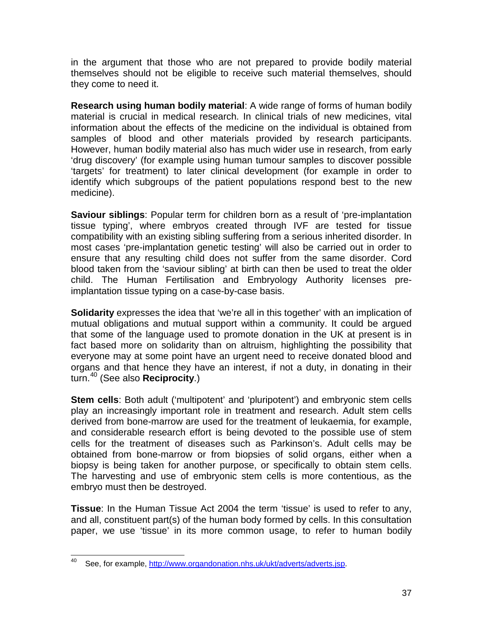in the argument that those who are not prepared to provide bodily material themselves should not be eligible to receive such material themselves, should they come to need it.

**Research using human bodily material**: A wide range of forms of human bodily material is crucial in medical research. In clinical trials of new medicines, vital information about the effects of the medicine on the individual is obtained from samples of blood and other materials provided by research participants. However, human bodily material also has much wider use in research, from early 'drug discovery' (for example using human tumour samples to discover possible 'targets' for treatment) to later clinical development (for example in order to identify which subgroups of the patient populations respond best to the new medicine).

**Saviour siblings**: Popular term for children born as a result of 'pre-implantation tissue typing', where embryos created through IVF are tested for tissue compatibility with an existing sibling suffering from a serious inherited disorder. In most cases 'pre-implantation genetic testing' will also be carried out in order to ensure that any resulting child does not suffer from the same disorder. Cord blood taken from the 'saviour sibling' at birth can then be used to treat the older child. The Human Fertilisation and Embryology Authority licenses preimplantation tissue typing on a case-by-case basis.

**Solidarity** expresses the idea that 'we're all in this together' with an implication of mutual obligations and mutual support within a community. It could be argued that some of the language used to promote donation in the UK at present is in fact based more on solidarity than on altruism, highlighting the possibility that everyone may at some point have an urgent need to receive donated blood and organs and that hence they have an interest, if not a duty, in donating in their turn.[40](#page-36-0) (See also **Reciprocity**.)

**Stem cells**: Both adult ('multipotent' and 'pluripotent') and embryonic stem cells play an increasingly important role in treatment and research. Adult stem cells derived from bone-marrow are used for the treatment of leukaemia, for example, and considerable research effort is being devoted to the possible use of stem cells for the treatment of diseases such as Parkinson's. Adult cells may be obtained from bone-marrow or from biopsies of solid organs, either when a biopsy is being taken for another purpose, or specifically to obtain stem cells. The harvesting and use of embryonic stem cells is more contentious, as the embryo must then be destroyed.

**Tissue**: In the Human Tissue Act 2004 the term 'tissue' is used to refer to any, and all, constituent part(s) of the human body formed by cells. In this consultation paper, we use 'tissue' in its more common usage, to refer to human bodily

<span id="page-36-0"></span>See, for example, [http://www.organdonation.nhs.uk/ukt/adverts/adverts.jsp.](http://www.organdonation.nhs.uk/ukt/adverts/adverts.jsp)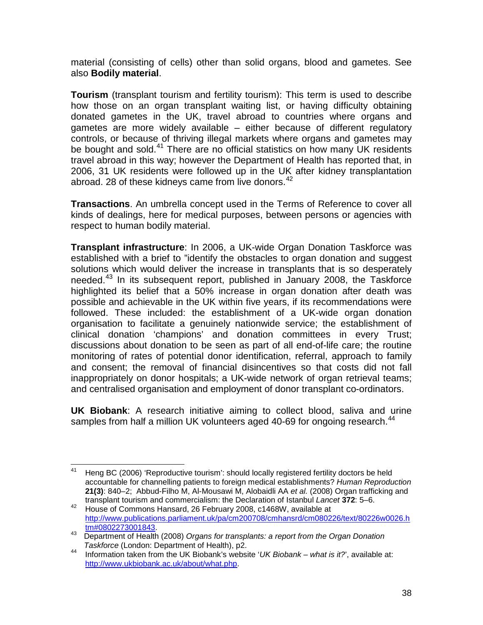material (consisting of cells) other than solid organs, blood and gametes. See also **Bodily material**.

**Tourism** (transplant tourism and fertility tourism): This term is used to describe how those on an organ transplant waiting list, or having difficulty obtaining donated gametes in the UK, travel abroad to countries where organs and gametes are more widely available – either because of different regulatory controls, or because of thriving illegal markets where organs and gametes may be bought and sold.<sup>[41](#page-37-0)</sup> There are no official statistics on how many UK residents travel abroad in this way; however the Department of Health has reported that, in 2006, 31 UK residents were followed up in the UK after kidney transplantation abroad. 28 of these kidneys came from live donors.<sup>[42](#page-37-1)</sup>

**Transactions**. An umbrella concept used in the Terms of Reference to cover all kinds of dealings, here for medical purposes, between persons or agencies with respect to human bodily material.

**Transplant infrastructure**: In 2006, a UK-wide Organ Donation Taskforce was established with a brief to "identify the obstacles to organ donation and suggest solutions which would deliver the increase in transplants that is so desperately needed.[43](#page-37-2) In its subsequent report, published in January 2008, the Taskforce highlighted its belief that a 50% increase in organ donation after death was possible and achievable in the UK within five years, if its recommendations were followed. These included: the establishment of a UK-wide organ donation organisation to facilitate a genuinely nationwide service; the establishment of clinical donation 'champions' and donation committees in every Trust; discussions about donation to be seen as part of all end-of-life care; the routine monitoring of rates of potential donor identification, referral, approach to family and consent; the removal of financial disincentives so that costs did not fall inappropriately on donor hospitals; a UK-wide network of organ retrieval teams; and centralised organisation and employment of donor transplant co-ordinators.

**UK Biobank**: A research initiative aiming to collect blood, saliva and urine samples from half a million UK volunteers aged 40-69 for ongoing research.<sup>[44](#page-37-3)</sup>

<span id="page-37-0"></span><sup>&</sup>lt;sup>41</sup> Heng BC (2006) 'Reproductive tourism': should locally registered fertility doctors be held accountable for channelling patients to foreign medical establishments? *Human Reproduction* **21(3)**: 840–2; Abbud-Filho M, Al-Mousawi M, Alobaidli AA *et al.* (2008) Organ trafficking and transplant tourism and commercialism: the Declaration of Istanbul *Lancet* **372**: 5–6.

<span id="page-37-1"></span><sup>42</sup> House of Commons Hansard, 26 February 2008, c1468W, available at [http://www.publications.parliament.uk/pa/cm200708/cmhansrd/cm080226/text/80226w0026.h](http://www.publications.parliament.uk/pa/cm200708/cmhansrd/cm080226/text/80226w0026.htm#0802273001843)

<span id="page-37-2"></span><sup>13</sup> Department of Health (2008) *Organs for transplants: a report from the Organ Donation*<br>Taskforce (London: Department of Health), p2.

<span id="page-37-3"></span><sup>&</sup>lt;sup>44</sup> Information taken from the UK Biobank's website '*UK Biobank – what is it?*', available at: [http://www.ukbiobank.ac.uk/about/what.php.](http://www.ukbiobank.ac.uk/about/what.php)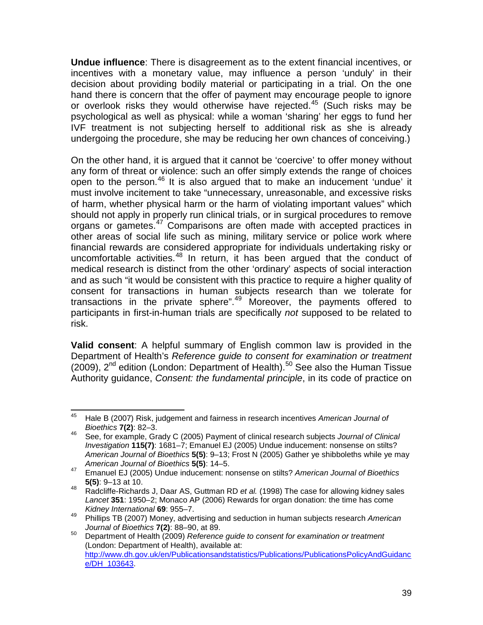**Undue influence**: There is disagreement as to the extent financial incentives, or incentives with a monetary value, may influence a person 'unduly' in their decision about providing bodily material or participating in a trial. On the one hand there is concern that the offer of payment may encourage people to ignore or overlook risks they would otherwise have rejected.<sup>[45](#page-38-0)</sup> (Such risks may be psychological as well as physical: while a woman 'sharing' her eggs to fund her IVF treatment is not subjecting herself to additional risk as she is already undergoing the procedure, she may be reducing her own chances of conceiving.)

On the other hand, it is argued that it cannot be 'coercive' to offer money without any form of threat or violence: such an offer simply extends the range of choices open to the person.[46](#page-38-1) It is also argued that to make an inducement 'undue' it must involve incitement to take "unnecessary, unreasonable, and excessive risks of harm, whether physical harm or the harm of violating important values" which should not apply in properly run clinical trials, or in surgical procedures to remove organs or gametes.[47](#page-38-2) Comparisons are often made with accepted practices in other areas of social life such as mining, military service or police work where financial rewards are considered appropriate for individuals undertaking risky or uncomfortable activities.<sup>[48](#page-38-3)</sup> In return, it has been argued that the conduct of medical research is distinct from the other 'ordinary' aspects of social interaction and as such "it would be consistent with this practice to require a higher quality of consent for transactions in human subjects research than we tolerate for transactions in the private sphere".<sup>[49](#page-38-4)</sup> Moreover, the payments offered to participants in first-in-human trials are specifically *not* supposed to be related to risk.

**Valid consent**: A helpful summary of English common law is provided in the Department of Health's *Reference guide to consent for examination or treatment* (2009),  $2^{nd}$  edition (London: Department of Health).<sup>[50](#page-38-5)</sup> See also the Human Tissue Authority guidance, *Consent: the fundamental principle*, in its code of practice on

<span id="page-38-0"></span> <sup>45</sup> Hale B (2007) Risk, judgement and fairness in research incentives *American Journal of Bioethics* **7(2)**: 82–3.

<span id="page-38-1"></span><sup>46</sup> See, for example, Grady C (2005) Payment of clinical research subjects *Journal of Clinical Investigation* **115(7)**: 1681–7; Emanuel EJ (2005) Undue inducement: nonsense on stilts? *American Journal of Bioethics* **5(5)**: 9–13; Frost N (2005) Gather ye shibboleths while ye may *American Journal of Bioethics* **5(5)**: 14–5.

<span id="page-38-2"></span><sup>47</sup> Emanuel EJ (2005) Undue inducement: nonsense on stilts? *American Journal of Bioethics* **5(5)**: 9–13 at 10.

<span id="page-38-3"></span><sup>48</sup> Radcliffe-Richards J, Daar AS, Guttman RD *et al.* (1998) The case for allowing kidney sales *Lancet* **351**: 1950–2; Monaco AP (2006) Rewards for organ donation: the time has come *Kidney International* **69**: 955–7.

<span id="page-38-4"></span><sup>49</sup> Phillips TB (2007) Money, advertising and seduction in human subjects research *American Journal of Bioethics* **7(2)**: 88–90, at 89.

<span id="page-38-5"></span><sup>50</sup> Department of Health (2009) *Reference guide to consent for examination or treatment* (London: Department of Health), available at: [http://www.dh.gov.uk/en/Publicationsandstatistics/Publications/PublicationsPolicyAndGuidanc](http://www.dh.gov.uk/en/Publicationsandstatistics/Publications/PublicationsPolicyAndGuidance/DH_103643) [e/DH\\_103643.](http://www.dh.gov.uk/en/Publicationsandstatistics/Publications/PublicationsPolicyAndGuidance/DH_103643)